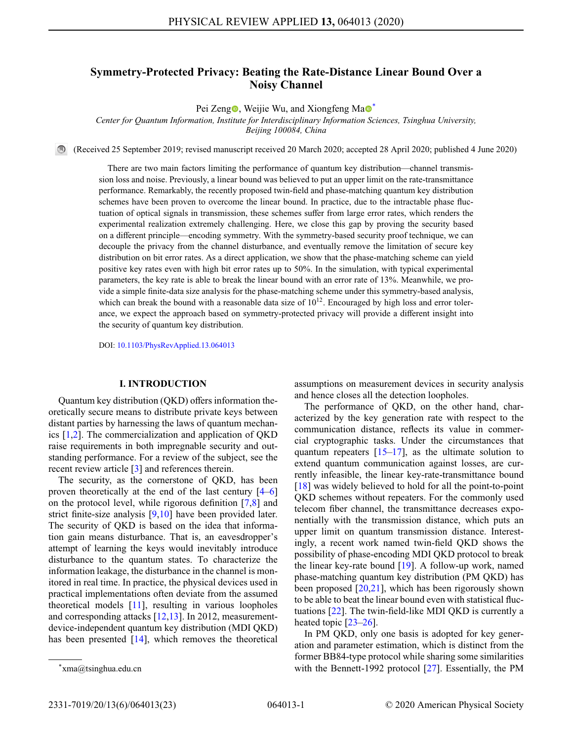# **Symmetry-Protected Privacy: Beating the Rate-Distance Linear Bound Over a Noisy Channel**

Pei Zeng $\bullet$ [,](https://orcid.org/0000-0003-4016-0706) Weijie Wu, [a](https://orcid.org/0000-0002-9441-4006)nd Xiongfeng Ma $\bullet$ <sup>[\\*](#page-0-0)</sup>

*Center for Quantum Information, Institute for Interdisciplinary Information Sciences, Tsinghua University,*

*Beijing 100084, China*

(Received 25 September 2019; revised manuscript received 20 March 2020; accepted 28 April 2020; published 4 June 2020)

There are two main factors limiting the performance of quantum key distribution—channel transmission loss and noise. Previously, a linear bound was believed to put an upper limit on the rate-transmittance performance. Remarkably, the recently proposed twin-field and phase-matching quantum key distribution schemes have been proven to overcome the linear bound. In practice, due to the intractable phase fluctuation of optical signals in transmission, these schemes suffer from large error rates, which renders the experimental realization extremely challenging. Here, we close this gap by proving the security based on a different principle—encoding symmetry. With the symmetry-based security proof technique, we can decouple the privacy from the channel disturbance, and eventually remove the limitation of secure key distribution on bit error rates. As a direct application, we show that the phase-matching scheme can yield positive key rates even with high bit error rates up to 50%. In the simulation, with typical experimental parameters, the key rate is able to break the linear bound with an error rate of 13%. Meanwhile, we provide a simple finite-data size analysis for the phase-matching scheme under this symmetry-based analysis, which can break the bound with a reasonable data size of  $10^{12}$ . Encouraged by high loss and error tolerance, we expect the approach based on symmetry-protected privacy will provide a different insight into the security of quantum key distribution.

DOI: [10.1103/PhysRevApplied.13.064013](http://dx.doi.org/10.1103/PhysRevApplied.13.064013)

### **I. INTRODUCTION**

Quantum key distribution (QKD) offers information theoretically secure means to distribute private keys between distant parties by harnessing the laws of quantum mechanics [\[1](#page-21-0)[,2\]](#page-21-1). The commercialization and application of QKD raise requirements in both impregnable security and outstanding performance. For a review of the subject, see the recent review article [\[3\]](#page-21-2) and references therein.

The security, as the cornerstone of QKD, has been proven theoretically at the end of the last century [\[4–](#page-21-3)[6\]](#page-21-4) on the protocol level, while rigorous definition [\[7,](#page-21-5)[8\]](#page-21-6) and strict finite-size analysis [\[9](#page-21-7)[,10\]](#page-21-8) have been provided later. The security of QKD is based on the idea that information gain means disturbance. That is, an eavesdropper's attempt of learning the keys would inevitably introduce disturbance to the quantum states. To characterize the information leakage, the disturbance in the channel is monitored in real time. In practice, the physical devices used in practical implementations often deviate from the assumed theoretical models [\[11\]](#page-21-9), resulting in various loopholes and corresponding attacks [\[12,](#page-21-10)[13\]](#page-21-11). In 2012, measurementdevice-independent quantum key distribution (MDI QKD) has been presented [\[14\]](#page-21-12), which removes the theoretical assumptions on measurement devices in security analysis and hence closes all the detection loopholes.

The performance of QKD, on the other hand, characterized by the key generation rate with respect to the communication distance, reflects its value in commercial cryptographic tasks. Under the circumstances that quantum repeaters  $[15-17]$  $[15-17]$ , as the ultimate solution to extend quantum communication against losses, are currently infeasible, the linear key-rate-transmittance bound [\[18\]](#page-21-15) was widely believed to hold for all the point-to-point QKD schemes without repeaters. For the commonly used telecom fiber channel, the transmittance decreases exponentially with the transmission distance, which puts an upper limit on quantum transmission distance. Interestingly, a recent work named twin-field QKD shows the possibility of phase-encoding MDI QKD protocol to break the linear key-rate bound [\[19\]](#page-21-16). A follow-up work, named phase-matching quantum key distribution (PM QKD) has been proposed [\[20](#page-21-17)[,21\]](#page-21-18), which has been rigorously shown to be able to beat the linear bound even with statistical fluctuations [\[22\]](#page-21-19). The twin-field-like MDI QKD is currently a heated topic [\[23](#page-21-20)[–26\]](#page-21-21).

In PM QKD, only one basis is adopted for key generation and parameter estimation, which is distinct from the former BB84-type protocol while sharing some similarities with the Bennett-1992 protocol [\[27\]](#page-21-22). Essentially, the PM

<span id="page-0-0"></span><sup>\*</sup>xma@tsinghua.edu.cn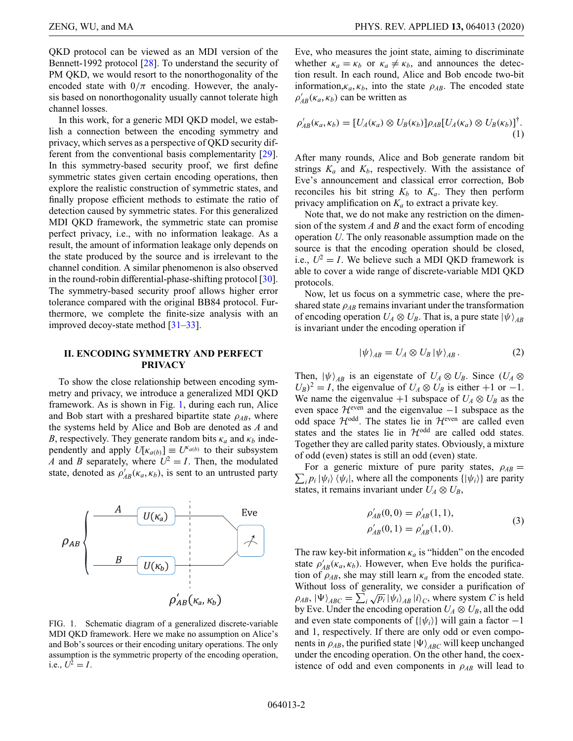QKD protocol can be viewed as an MDI version of the Bennett-1992 protocol [\[28\]](#page-21-23). To understand the security of PM QKD, we would resort to the nonorthogonality of the encoded state with  $0/\pi$  encoding. However, the analysis based on nonorthogonality usually cannot tolerate high channel losses.

In this work, for a generic MDI QKD model, we establish a connection between the encoding symmetry and privacy, which serves as a perspective of QKD security different from the conventional basis complementarity [\[29\]](#page-21-24). In this symmetry-based security proof, we first define symmetric states given certain encoding operations, then explore the realistic construction of symmetric states, and finally propose efficient methods to estimate the ratio of detection caused by symmetric states. For this generalized MDI QKD framework, the symmetric state can promise perfect privacy, i.e., with no information leakage. As a result, the amount of information leakage only depends on the state produced by the source and is irrelevant to the channel condition. A similar phenomenon is also observed in the round-robin differential-phase-shifting protocol [\[30\]](#page-21-25). The symmetry-based security proof allows higher error tolerance compared with the original BB84 protocol. Furthermore, we complete the finite-size analysis with an improved decoy-state method [\[31–](#page-22-0)[33\]](#page-22-1).

# **II. ENCODING SYMMETRY AND PERFECT PRIVACY**

To show the close relationship between encoding symmetry and privacy, we introduce a generalized MDI QKD framework. As is shown in Fig. [1,](#page-1-0) during each run, Alice and Bob start with a preshared bipartite state  $\rho_{AB}$ , where the systems held by Alice and Bob are denoted as *A* and *B*, respectively. They generate random bits  $\kappa_a$  and  $\kappa_b$  independently and apply  $U[k_{a(b)}] \equiv U^{k_{a(b)}}$  to their subsystem *A* and *B* separately, where  $U^2 = I$ . Then, the modulated state, denoted as  $\rho'_{AB}(\kappa_a, \kappa_b)$ , is sent to an untrusted party

<span id="page-1-0"></span>

FIG. 1. Schematic diagram of a generalized discrete-variable MDI QKD framework. Here we make no assumption on Alice's and Bob's sources or their encoding unitary operations. The only assumption is the symmetric property of the encoding operation, i.e.,  $U^2 = I$ .

Eve, who measures the joint state, aiming to discriminate whether  $\kappa_a = \kappa_b$  or  $\kappa_a \neq \kappa_b$ , and announces the detection result. In each round, Alice and Bob encode two-bit information, $\kappa_a$ ,  $\kappa_b$ , into the state  $\rho_{AB}$ . The encoded state  $\rho'_{AB}(\kappa_a, \kappa_b)$  can be written as

$$
\rho'_{AB}(\kappa_a, \kappa_b) = [U_A(\kappa_a) \otimes U_B(\kappa_b)] \rho_{AB} [U_A(\kappa_a) \otimes U_B(\kappa_b)]^{\dagger}.
$$
\n(1)

After many rounds, Alice and Bob generate random bit strings  $K_a$  and  $K_b$ , respectively. With the assistance of Eve's announcement and classical error correction, Bob reconciles his bit string  $K_b$  to  $K_a$ . They then perform privacy amplification on  $K_a$  to extract a private key.

Note that, we do not make any restriction on the dimension of the system *A* and *B* and the exact form of encoding operation *U*. The only reasonable assumption made on the source is that the encoding operation should be closed, i.e.,  $U^2 = I$ . We believe such a MDI QKD framework is able to cover a wide range of discrete-variable MDI QKD protocols.

Now, let us focus on a symmetric case, where the preshared state  $\rho_{AB}$  remains invariant under the transformation of encoding operation  $U_A \otimes U_B$ . That is, a pure state  $|\psi\rangle_{AB}$ is invariant under the encoding operation if

$$
|\psi\rangle_{AB} = U_A \otimes U_B |\psi\rangle_{AB}.
$$
 (2)

Then,  $|\psi\rangle_{AB}$  is an eigenstate of  $U_A \otimes U_B$ . Since  $(U_A \otimes$  $U_B$ <sup>2</sup> = *I*, the eigenvalue of  $U_A \otimes U_B$  is either +1 or −1. We name the eigenvalue +1 subspace of  $U_A \otimes U_B$  as the even space  $\mathcal{H}^{even}$  and the eigenvalue  $-1$  subspace as the odd space  $\mathcal{H}^{\text{odd}}$ . The states lie in  $\mathcal{H}^{\text{even}}$  are called even states and the states lie in  $H^{odd}$  are called odd states. Together they are called parity states. Obviously, a mixture of odd (even) states is still an odd (even) state.

 $\sum_i p_i |\psi_i\rangle \langle \psi_i|$ , where all the components  $\{|\psi_i\rangle\}$  are parity For a generic mixture of pure parity states,  $\rho_{AB}$  = states, it remains invariant under  $U_A \otimes U_B$ ,

$$
\rho'_{AB}(0,0) = \rho'_{AB}(1,1),
$$
  
\n
$$
\rho'_{AB}(0,1) = \rho'_{AB}(1,0).
$$
\n(3)

The raw key-bit information  $\kappa_a$  is "hidden" on the encoded state  $\rho'_{AB}(\kappa_a, \kappa_b)$ . However, when Eve holds the purification of  $\rho_{AB}$ , she may still learn  $\kappa_a$  from the encoded state. Without loss of generality, we consider a purification of  $(\rho_{AB}, |\Psi\rangle_{ABC} = \sum_i \sqrt{p_i} |\psi_i\rangle_{AB} |i\rangle_C$ , where system *C* is held by Eve. Under the encoding operation  $U_A \otimes U_B$ , all the odd and even state components of  $\{|\psi_i\rangle\}$  will gain a factor  $-1$ and 1, respectively. If there are only odd or even components in  $\rho_{AB}$ , the purified state  $|\Psi\rangle_{ABC}$  will keep unchanged under the encoding operation. On the other hand, the coexistence of odd and even components in  $\rho_{AB}$  will lead to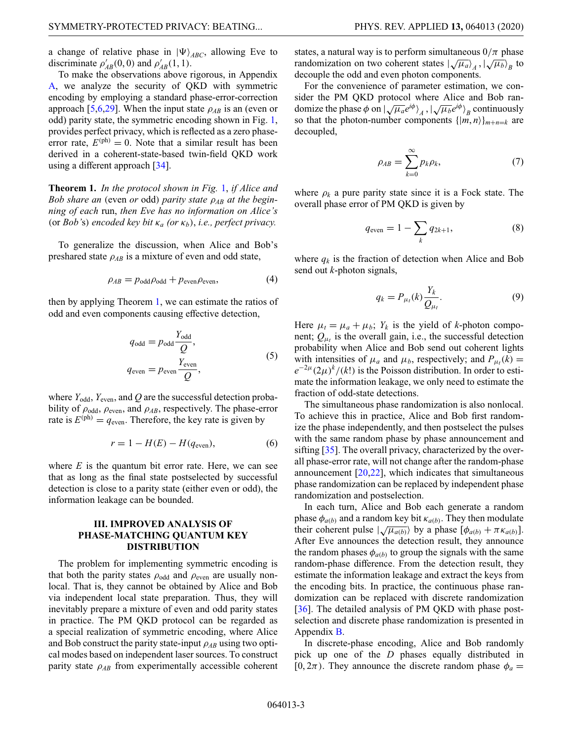a change of relative phase in  $|\Psi\rangle_{ABC}$ , allowing Eve to discriminate  $\rho'_{AB}(0,0)$  and  $\rho'_{AB}(1,1)$ .

To make the observations above rigorous, in Appendix [A,](#page-5-0) we analyze the security of QKD with symmetric encoding by employing a standard phase-error-correction approach [\[5](#page-21-26)[,6,](#page-21-4)[29\]](#page-21-24). When the input state  $\rho_{AB}$  is an (even or odd) parity state, the symmetric encoding shown in Fig. [1,](#page-1-0) provides perfect privacy, which is reflected as a zero phaseerror rate,  $E^{(ph)} = 0$ . Note that a similar result has been derived in a coherent-state-based twin-field QKD work using a different approach [\[34\]](#page-22-2).

**Theorem 1.** *In the protocol shown in Fig.* [1,](#page-1-0) *if Alice and Bob share an* (even *or* odd) *parity state* ρ*AB at the beginning of each* run, *then Eve has no information on Alice's* (or *Bob'*s) *encoded key bit* κ*<sup>a</sup> (or* κ*b*), *i.e., perfect privacy.*

To generalize the discussion, when Alice and Bob's preshared state  $\rho_{AB}$  is a mixture of even and odd state,

$$
\rho_{AB} = p_{\text{odd}}\rho_{\text{odd}} + p_{\text{even}}\rho_{\text{even}},\tag{4}
$$

then by applying Theorem 1, we can estimate the ratios of odd and even components causing effective detection,

$$
q_{\text{odd}} = p_{\text{odd}} \frac{Y_{\text{odd}}}{Q},
$$
  

$$
q_{\text{even}} = p_{\text{even}} \frac{Y_{\text{even}}}{Q},
$$
 (5)

where  $Y_{\text{odd}}$ ,  $Y_{\text{even}}$ , and  $Q$  are the successful detection probability of  $\rho_{\text{odd}}$ ,  $\rho_{\text{even}}$ , and  $\rho_{AB}$ , respectively. The phase-error rate is  $E^{(\text{ph})} = q_{\text{even}}$ . Therefore, the key rate is given by

$$
r = 1 - H(E) - H(q_{\text{even}}),\tag{6}
$$

where *E* is the quantum bit error rate. Here, we can see that as long as the final state postselected by successful detection is close to a parity state (either even or odd), the information leakage can be bounded.

# **III. IMPROVED ANALYSIS OF PHASE-MATCHING QUANTUM KEY DISTRIBUTION**

The problem for implementing symmetric encoding is that both the parity states  $\rho_{\text{odd}}$  and  $\rho_{\text{even}}$  are usually nonlocal. That is, they cannot be obtained by Alice and Bob via independent local state preparation. Thus, they will inevitably prepare a mixture of even and odd parity states in practice. The PM QKD protocol can be regarded as a special realization of symmetric encoding, where Alice and Bob construct the parity state-input  $\rho_{AB}$  using two optical modes based on independent laser sources. To construct parity state ρ*AB* from experimentally accessible coherent states, a natural way is to perform simultaneous  $0/\pi$  phase randomization on two coherent states  $\left(\sqrt{\mu_a}\right)_A$ ,  $\left(\sqrt{\mu_b}\right)_B$  to decouple the odd and even photon components.

For the convenience of parameter estimation, we consider the PM QKD protocol where Alice and Bob randomize the phase  $\phi$  on  $|\sqrt{\mu_a}e^{i\phi}\rangle_A$ ,  $|\sqrt{\mu_b}e^{i\phi}\rangle_B$  continuously so that the photon-number components  $\{|m, n\rangle\}_{m+n=k}$  are decoupled,

$$
\rho_{AB} = \sum_{k=0}^{\infty} p_k \rho_k, \tag{7}
$$

where  $\rho_k$  a pure parity state since it is a Fock state. The overall phase error of PM QKD is given by

<span id="page-2-0"></span>
$$
q_{\text{even}} = 1 - \sum_{k} q_{2k+1},
$$
 (8)

where  $q_k$  is the fraction of detection when Alice and Bob send out *k*-photon signals,

<span id="page-2-1"></span>
$$
q_k = P_{\mu_l}(k) \frac{Y_k}{Q_{\mu_l}}.\tag{9}
$$

Here  $\mu_t = \mu_a + \mu_b$ ;  $Y_k$  is the yield of *k*-photon component;  $Q_{\mu t}$  is the overall gain, i.e., the successful detection probability when Alice and Bob send out coherent lights with intensities of  $\mu_a$  and  $\mu_b$ , respectively; and  $P_{\mu}$ <sub>*k*</sub> $(k)$  =  $e^{-2\mu}(2\mu)^k/(k!)$  is the Poisson distribution. In order to estimate the information leakage, we only need to estimate the fraction of odd-state detections.

The simultaneous phase randomization is also nonlocal. To achieve this in practice, Alice and Bob first randomize the phase independently, and then postselect the pulses with the same random phase by phase announcement and sifting [\[35\]](#page-22-3). The overall privacy, characterized by the overall phase-error rate, will not change after the random-phase announcement [\[20](#page-21-17)[,22\]](#page-21-19), which indicates that simultaneous phase randomization can be replaced by independent phase randomization and postselection.

In each turn, Alice and Bob each generate a random phase  $\phi_{a(b)}$  and a random key bit  $\kappa_{a(b)}$ . They then modulate  $\psi_{a(b)}$  and a random key on  $\kappa_{a(b)}$ . They then modulate<br>their coherent pulse  $|\sqrt{\mu_{a(b)}}\rangle$  by a phase  $[\phi_{a(b)} + \pi \kappa_{a(b)}].$ After Eve announces the detection result, they announce the random phases  $\phi_{a(b)}$  to group the signals with the same random-phase difference. From the detection result, they estimate the information leakage and extract the keys from the encoding bits. In practice, the continuous phase randomization can be replaced with discrete randomization [\[36\]](#page-22-4). The detailed analysis of PM QKD with phase postselection and discrete phase randomization is presented in Appendix [B.](#page-10-0)

In discrete-phase encoding, Alice and Bob randomly pick up one of the *D* phases equally distributed in  $[0, 2\pi)$ . They announce the discrete random phase  $\phi_a =$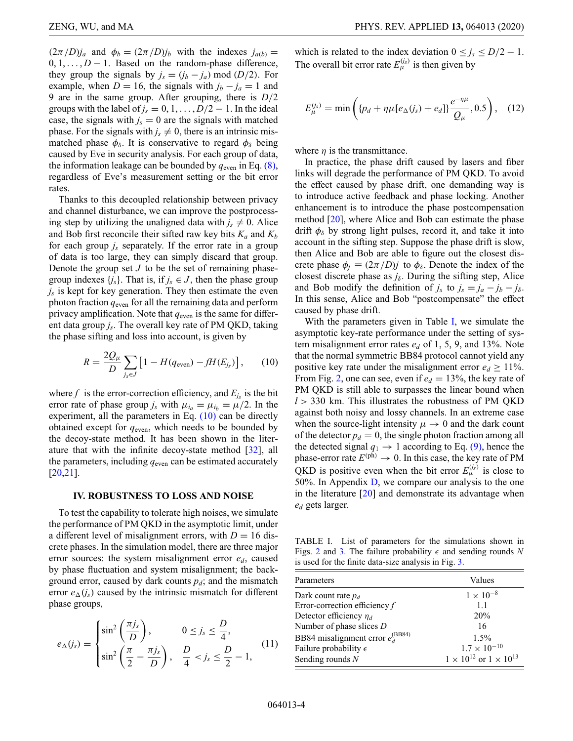$(2\pi/D)j_a$  and  $\phi_b = (2\pi/D)j_b$  with the indexes  $j_{a(b)} =$  $0, 1, \ldots, D-1$ . Based on the random-phase difference, they group the signals by  $j_s = (j_b - j_a) \text{ mod } (D/2)$ . For example, when *D* = 16, the signals with  $j_b - j_a = 1$  and 9 are in the same group. After grouping, there is *D*/2 groups with the label of  $j_s = 0, 1, \ldots, D/2 - 1$ . In the ideal case, the signals with  $j_s = 0$  are the signals with matched phase. For the signals with  $j_s \neq 0$ , there is an intrinsic mismatched phase  $\phi_{\delta}$ . It is conservative to regard  $\phi_{\delta}$  being caused by Eve in security analysis. For each group of data, the information leakage can be bounded by  $q_{\text{even}}$  in Eq. [\(8\),](#page-2-0) regardless of Eve's measurement setting or the bit error rates.

Thanks to this decoupled relationship between privacy and channel disturbance, we can improve the postprocessing step by utilizing the unaligned data with  $j_s \neq 0$ . Alice and Bob first reconcile their sifted raw key bits  $K_a$  and  $K_b$ for each group *js* separately. If the error rate in a group of data is too large, they can simply discard that group. Denote the group set *J* to be the set of remaining phasegroup indexes  $\{j_s\}$ . That is, if  $j_s \in J$ , then the phase group *js* is kept for key generation. They then estimate the even photon fraction  $q_{\text{even}}$  for all the remaining data and perform privacy amplification. Note that  $q_{\text{even}}$  is the same for different data group *js*. The overall key rate of PM QKD, taking the phase sifting and loss into account, is given by

$$
R = \frac{2Q_{\mu}}{D} \sum_{j_s \in J} \left[ 1 - H(q_{\text{even}}) - fH(E_{j_s}) \right], \qquad (10)
$$

where  $f$  is the error-correction efficiency, and  $E_{j_s}$  is the bit error rate of phase group  $j_s$  with  $\mu_{i_a} = \mu_{i_b} = \mu/2$ . In the experiment, all the parameters in Eq.  $(10)$  can be directly obtained except for  $q_{\text{even}}$ , which needs to be bounded by the decoy-state method. It has been shown in the literature that with the infinite decoy-state method [\[32\]](#page-22-5), all the parameters, including  $q_{\text{even}}$  can be estimated accurately [\[20](#page-21-17)[,21\]](#page-21-18).

#### **IV. ROBUSTNESS TO LOSS AND NOISE**

To test the capability to tolerate high noises, we simulate the performance of PM QKD in the asymptotic limit, under a different level of misalignment errors, with  $D = 16$  discrete phases. In the simulation model, there are three major error sources: the system misalignment error  $e_d$ , caused by phase fluctuation and system misalignment; the background error, caused by dark counts  $p_d$ ; and the mismatch error  $e_{\Delta}(i_s)$  caused by the intrinsic mismatch for different phase groups,

$$
e_{\Delta}(j_s) = \begin{cases} \sin^2\left(\frac{\pi j_s}{D}\right), & 0 \le j_s \le \frac{D}{4}, \\ \sin^2\left(\frac{\pi}{2} - \frac{\pi j_s}{D}\right), & \frac{D}{4} < j_s \le \frac{D}{2} - 1, \end{cases}
$$
(11)

which is related to the index deviation  $0 \le j_s \le D/2 - 1$ . The overall bit error rate  $E_{\mu}^{(j_s)}$  is then given by

$$
E_{\mu}^{(j_s)} = \min\left( \{p_d + \eta \mu [e_{\Delta}(j_s) + e_d] \} \frac{e^{-\eta \mu}}{Q_{\mu}}, 0.5 \right), \quad (12)
$$

where  $\eta$  is the transmittance.

In practice, the phase drift caused by lasers and fiber links will degrade the performance of PM QKD. To avoid the effect caused by phase drift, one demanding way is to introduce active feedback and phase locking. Another enhancement is to introduce the phase postcompensation method [\[20\]](#page-21-17), where Alice and Bob can estimate the phase drift  $\phi_{\delta}$  by strong light pulses, record it, and take it into account in the sifting step. Suppose the phase drift is slow, then Alice and Bob are able to figure out the closest discrete phase  $\phi_i \equiv (2\pi/D)j$  to  $\phi_\delta$ . Denote the index of the closest discrete phase as  $j_{\delta}$ . During the sifting step, Alice and Bob modify the definition of  $j_s$  to  $j_s = j_a - j_b - j_\delta$ . In this sense, Alice and Bob "postcompensate" the effect caused by phase drift.

<span id="page-3-0"></span>With the parameters given in Table [I,](#page-3-1) we simulate the asymptotic key-rate performance under the setting of system misalignment error rates *ed* of 1, 5, 9, and 13%. Note that the normal symmetric BB84 protocol cannot yield any positive key rate under the misalignment error  $e_d \geq 11\%$ . From Fig. [2,](#page-4-0) one can see, even if  $e_d = 13\%$ , the key rate of PM QKD is still able to surpasses the linear bound when  $l > 330$  km. This illustrates the robustness of PM QKD against both noisy and lossy channels. In an extreme case when the source-light intensity  $\mu \to 0$  and the dark count of the detector  $p_d = 0$ , the single photon fraction among all the detected signal  $q_1 \rightarrow 1$  according to Eq. [\(9\),](#page-2-1) hence the phase-error rate  $E^{(ph)} \rightarrow 0$ . In this case, the key rate of PM QKD is positive even when the bit error  $E_{\mu}^{(j_s)}$  is close to 50%. In Appendix [D,](#page-19-0) we compare our analysis to the one in the literature [\[20\]](#page-21-17) and demonstrate its advantage when *ed* gets larger.

<span id="page-3-1"></span>TABLE I. List of parameters for the simulations shown in Figs. [2](#page-4-0) and [3.](#page-4-1) The failure probability  $\epsilon$  and sending rounds N is used for the finite data-size analysis in Fig. [3.](#page-4-1)

| Parameters                                    | Values                                   |
|-----------------------------------------------|------------------------------------------|
| Dark count rate $p_d$                         | $1 \times 10^{-8}$                       |
| Error-correction efficiency $f$               | 1.1                                      |
| Detector efficiency $\eta_d$                  | 20%                                      |
| Number of phase slices $D$                    | 16                                       |
| BB84 misalignment error $e_A^{(\text{BB84})}$ | $1.5\%$                                  |
| Failure probability $\epsilon$                | $1.7 \times 10^{-10}$                    |
| Sending rounds $N$                            | $1 \times 10^{12}$ or $1 \times 10^{13}$ |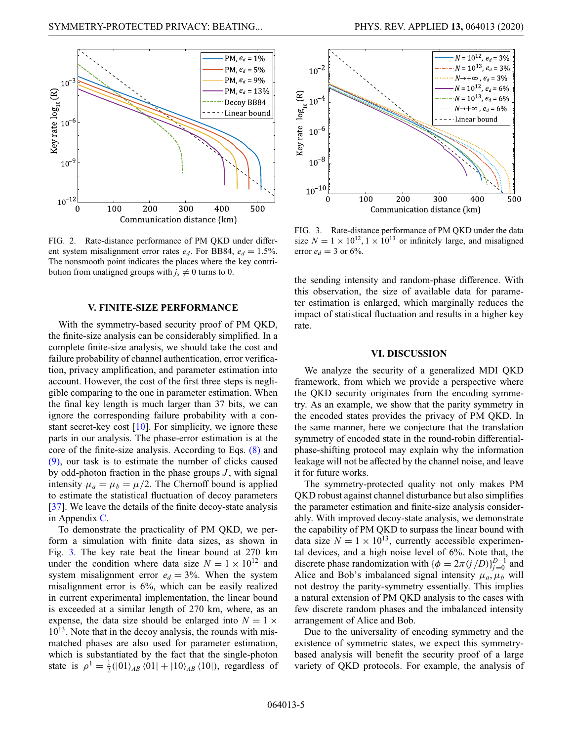<span id="page-4-0"></span>

FIG. 2. Rate-distance performance of PM QKD under different system misalignment error rates  $e_d$ . For BB84,  $e_d = 1.5\%$ . The nonsmooth point indicates the places where the key contribution from unaligned groups with  $j_s \neq 0$  turns to 0.

# **V. FINITE-SIZE PERFORMANCE**

With the symmetry-based security proof of PM QKD, the finite-size analysis can be considerably simplified. In a complete finite-size analysis, we should take the cost and failure probability of channel authentication, error verification, privacy amplification, and parameter estimation into account. However, the cost of the first three steps is negligible comparing to the one in parameter estimation. When the final key length is much larger than 37 bits, we can ignore the corresponding failure probability with a constant secret-key cost  $[10]$ . For simplicity, we ignore these parts in our analysis. The phase-error estimation is at the core of the finite-size analysis. According to Eqs. [\(8\)](#page-2-0) and [\(9\),](#page-2-1) our task is to estimate the number of clicks caused by odd-photon fraction in the phase groups *J* , with signal intensity  $\mu_a = \mu_b = \mu/2$ . The Chernoff bound is applied to estimate the statistical fluctuation of decoy parameters [\[37\]](#page-22-6). We leave the details of the finite decoy-state analysis in Appendix [C.](#page-17-0)

To demonstrate the practicality of PM QKD, we perform a simulation with finite data sizes, as shown in Fig. [3.](#page-4-1) The key rate beat the linear bound at 270 km under the condition where data size  $N = 1 \times 10^{12}$  and system misalignment error  $e_d = 3\%$ . When the system misalignment error is 6%, which can be easily realized in current experimental implementation, the linear bound is exceeded at a similar length of 270 km, where, as an expense, the data size should be enlarged into  $N = 1 \times$  $10^{13}$ . Note that in the decoy analysis, the rounds with mismatched phases are also used for parameter estimation, which is substantiated by the fact that the single-photon state is  $\rho^1 = \frac{1}{2} (|01\rangle_{AB} \langle 01| + |10\rangle_{AB} \langle 10|)$ , regardless of

<span id="page-4-1"></span>

FIG. 3. Rate-distance performance of PM QKD under the data size  $N = 1 \times 10^{12}$ ,  $1 \times 10^{13}$  or infinitely large, and misaligned error  $e_d = 3$  or 6%.

the sending intensity and random-phase difference. With this observation, the size of available data for parameter estimation is enlarged, which marginally reduces the impact of statistical fluctuation and results in a higher key rate.

#### **VI. DISCUSSION**

We analyze the security of a generalized MDI QKD framework, from which we provide a perspective where the QKD security originates from the encoding symmetry. As an example, we show that the parity symmetry in the encoded states provides the privacy of PM QKD. In the same manner, here we conjecture that the translation symmetry of encoded state in the round-robin differentialphase-shifting protocol may explain why the information leakage will not be affected by the channel noise, and leave it for future works.

The symmetry-protected quality not only makes PM QKD robust against channel disturbance but also simplifies the parameter estimation and finite-size analysis considerably. With improved decoy-state analysis, we demonstrate the capability of PM QKD to surpass the linear bound with data size  $N = 1 \times 10^{13}$ , currently accessible experimental devices, and a high noise level of 6%. Note that, the discrete phase randomization with  $\{\phi = 2\pi (j/D)\}_{j=0}^{D-1}$  and Alice and Bob's imbalanced signal intensity  $\mu_a$ ,  $\mu_b$  will not destroy the parity-symmetry essentially. This implies a natural extension of PM QKD analysis to the cases with few discrete random phases and the imbalanced intensity arrangement of Alice and Bob.

Due to the universality of encoding symmetry and the existence of symmetric states, we expect this symmetrybased analysis will benefit the security proof of a large variety of QKD protocols. For example, the analysis of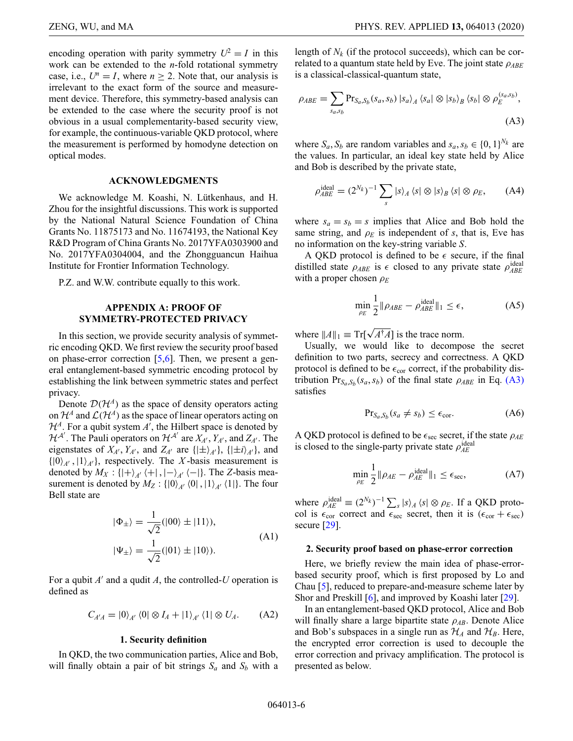encoding operation with parity symmetry  $U^2 = I$  in this work can be extended to the *n*-fold rotational symmetry case, i.e.,  $U^n = I$ , where  $n \geq 2$ . Note that, our analysis is irrelevant to the exact form of the source and measurement device. Therefore, this symmetry-based analysis can be extended to the case where the security proof is not obvious in a usual complementarity-based security view, for example, the continuous-variable QKD protocol, where the measurement is performed by homodyne detection on optical modes.

## **ACKNOWLEDGMENTS**

We acknowledge M. Koashi, N. Lütkenhaus, and H. Zhou for the insightful discussions. This work is supported by the National Natural Science Foundation of China Grants No. 11875173 and No. 11674193, the National Key R&D Program of China Grants No. 2017YFA0303900 and No. 2017YFA0304004, and the Zhongguancun Haihua Institute for Frontier Information Technology.

P.Z. and W.W. contribute equally to this work.

# <span id="page-5-0"></span>**APPENDIX A: PROOF OF SYMMETRY-PROTECTED PRIVACY**

In this section, we provide security analysis of symmetric encoding QKD. We first review the security proof based on phase-error correction [\[5](#page-21-26)[,6\]](#page-21-4). Then, we present a general entanglement-based symmetric encoding protocol by establishing the link between symmetric states and perfect privacy.

Denote  $D(\mathcal{H}^A)$  as the space of density operators acting on  $\mathcal{H}^A$  and  $\mathcal{L}(\mathcal{H}^A)$  as the space of linear operators acting on  $\mathcal{H}^A$ . For a qubit system *A*<sup>'</sup>, the Hilbert space is denoted by  $\mathcal{H}^{A'}$ . The Pauli operators on  $\mathcal{H}^{A'}$  are  $X_A$ ,  $Y_{A'}$ , and  $Z_{A'}$ . The eigenstates of  $X_{A}$ ,  $Y_{A}$ , and  $Z_{A}$  are  $\{|\pm\rangle_{A}\}$ ,  $\{|\pm i\rangle_{A'}\}$ , and  $\{|0\rangle_{A}, |1\rangle_{A'}\}$ , respectively. The *X*-basis measurement is denoted by  $M_X : \{ |+ \rangle_{A'} \langle + | , |-\rangle_{A'} \langle - | \}.$  The *Z*-basis measurement is denoted by  $M_Z$ :  $\{ |0\rangle_{A'} |0|, |1\rangle_{A'} |1| \}$ . The four Bell state are

$$
|\Phi_{\pm}\rangle = \frac{1}{\sqrt{2}} (|00\rangle \pm |11\rangle),
$$
  

$$
|\Psi_{\pm}\rangle = \frac{1}{\sqrt{2}} (|01\rangle \pm |10\rangle).
$$
 (A1)

For a qubit  $A'$  and a qudit  $A$ , the controlled-*U* operation is defined as

$$
C_{A'A} = |0\rangle_{A'} \langle 0| \otimes I_A + |1\rangle_{A'} \langle 1| \otimes U_A. \tag{A2}
$$

#### **1. Security definition**

In QKD, the two communication parties, Alice and Bob, will finally obtain a pair of bit strings  $S_a$  and  $S_b$  with a length of  $N_k$  (if the protocol succeeds), which can be correlated to a quantum state held by Eve. The joint state ρ*ABE* is a classical-classical-quantum state,

$$
\rho_{ABE} = \sum_{s_a, s_b} \Pr_{S_a, S_b}(s_a, s_b) |s_a\rangle_A \langle s_a| \otimes |s_b\rangle_B \langle s_b| \otimes \rho_E^{(s_a, s_b)},
$$
\n(A3)

where  $S_a$ ,  $S_b$  are random variables and  $s_a$ ,  $s_b \in \{0, 1\}^{N_k}$  are the values. In particular, an ideal key state held by Alice and Bob is described by the private state,

<span id="page-5-1"></span>
$$
\rho_{ABE}^{\text{ideal}} = (2^{N_k})^{-1} \sum_{s} |s\rangle_A \langle s| \otimes |s\rangle_B \langle s| \otimes \rho_E, \qquad (A4)
$$

where  $s_a = s_b = s$  implies that Alice and Bob hold the same string, and  $\rho_E$  is independent of *s*, that is, Eve has no information on the key-string variable *S*.

A QKD protocol is defined to be  $\epsilon$  secure, if the final distilled state  $\rho_{ABE}$  is  $\epsilon$  closed to any private state  $\rho_{ABE}^{ideal}$ with a proper chosen ρ*<sup>E</sup>*

$$
\min_{\rho_E} \frac{1}{2} \|\rho_{ABE} - \rho_{ABE}^{\text{ideal}}\|_1 \le \epsilon,\tag{A5}
$$

where  $||A||_1 \equiv \text{Tr}[\sqrt{A^{\dagger}A}]$  is the trace norm.

Usually, we would like to decompose the secret definition to two parts, secrecy and correctness. A QKD protocol is defined to be  $\epsilon_{cor}$  correct, if the probability distribution  $Pr_{S_a, S_b}(s_a, s_b)$  of the final state  $\rho_{ABE}$  in Eq. [\(A3\)](#page-5-1) satisfies

$$
Pr_{S_a, S_b}(s_a \neq s_b) \leq \epsilon_{\text{cor}}.\tag{A6}
$$

A QKD protocol is defined to be  $\epsilon_{\text{sec}}$  secret, if the state  $\rho_{AE}$ is closed to the single-party private state  $\rho_{AE}^{\text{ideal}}$ 

$$
\min_{\rho_E} \frac{1}{2} \|\rho_{AE} - \rho_{AE}^{\text{ideal}}\|_1 \le \epsilon_{\text{sec}},\tag{A7}
$$

where  $\rho_{AE}^{\text{ideal}} \equiv (2^{N_k})^{-1} \sum_s |s\rangle_A \langle s| \otimes \rho_E$ . If a QKD protocol is  $\epsilon_{cor}$  correct and  $\epsilon_{sec}$  secret, then it is  $(\epsilon_{cor} + \epsilon_{sec})$ secure [\[29\]](#page-21-24).

#### **2. Security proof based on phase-error correction**

Here, we briefly review the main idea of phase-errorbased security proof, which is first proposed by Lo and Chau [\[5\]](#page-21-26), reduced to prepare-and-measure scheme later by Shor and Preskill [\[6\]](#page-21-4), and improved by Koashi later [\[29\]](#page-21-24).

In an entanglement-based QKD protocol, Alice and Bob will finally share a large bipartite state  $\rho_{AB}$ . Denote Alice and Bob's subspaces in a single run as  $\mathcal{H}_A$  and  $\mathcal{H}_B$ . Here, the encrypted error correction is used to decouple the error correction and privacy amplification. The protocol is presented as below.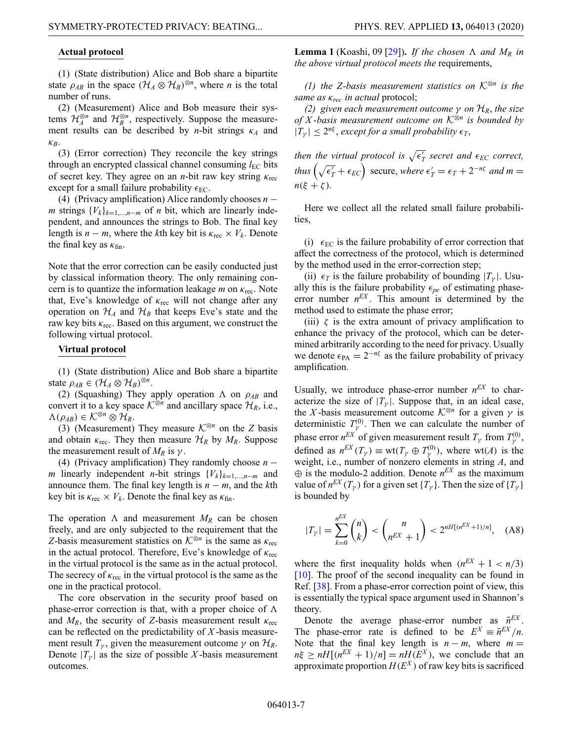### **Actual protocol**

(1) (State distribution) Alice and Bob share a bipartite state  $\rho_{AB}$  in the space  $(\mathcal{H}_A \otimes \mathcal{H}_B)^{\otimes n}$ , where *n* is the total number of runs.

(2) (Measurement) Alice and Bob measure their systems  $\mathcal{H}_A^{\otimes n}$  and  $\mathcal{H}_B^{\otimes n}$ , respectively. Suppose the measurement results can be described by *n*-bit strings κ*<sup>A</sup>* and κ*B*.

(3) (Error correction) They reconcile the key strings through an encrypted classical channel consuming  $l_{\text{EC}}$  bits of secret key. They agree on an *n*-bit raw key string  $\kappa_{\text{rec}}$ except for a small failure probability  $\epsilon_{EC}$ .

(4) (Privacy amplification) Alice randomly chooses *n* − *m* strings  ${V_k}_{k=1,\dots,n-m}$  of *n* bit, which are linearly independent, and announces the strings to Bob. The final key length is  $n - m$ , where the *k*th key bit is  $\kappa_{\text{rec}} \times V_k$ . Denote the final key as  $\kappa_{fin}$ .

Note that the error correction can be easily conducted just by classical information theory. The only remaining concern is to quantize the information leakage  $m$  on  $\kappa_{\text{rec}}$ . Note that, Eve's knowledge of  $\kappa_{\text{rec}}$  will not change after any operation on  $\mathcal{H}_A$  and  $\mathcal{H}_B$  that keeps Eve's state and the raw key bits  $\kappa_{\text{rec}}$ . Based on this argument, we construct the following virtual protocol.

### **Virtual protocol**

(1) (State distribution) Alice and Bob share a bipartite state  $\rho_{AB} \in (\mathcal{H}_A \otimes \mathcal{H}_B)^{\otimes n}$ .

(2) (Squashing) They apply operation  $\Lambda$  on  $\rho_{AB}$  and convert it to a key space  $\mathcal{K}^{\otimes n}$  and ancillary space  $\mathcal{H}_R$ , i.e.,  $\Lambda(\rho_{AB}) \in \mathcal{K}^{\otimes n} \otimes \mathcal{H}_R$ .

(3) (Measurement) They measure  $K^{\otimes n}$  on the *Z* basis and obtain  $\kappa_{\text{rec}}$ . They then measure  $\mathcal{H}_R$  by  $M_R$ . Suppose the measurement result of  $M_R$  is  $\gamma$ .

(4) (Privacy amplification) They randomly choose *n* − *m* linearly independent *n*-bit strings {*Vk*}*k*=1,...,*n*−*<sup>m</sup>* and announce them. The final key length is  $n - m$ , and the  $k$ th key bit is  $\kappa_{\text{rec}} \times V_k$ . Denote the final key as  $\kappa_{\text{fin}}$ .

The operation  $\Lambda$  and measurement  $M_R$  can be chosen freely, and are only subjected to the requirement that the *Z*-basis measurement statistics on  $K^{\otimes n}$  is the same as  $\kappa_{\text{rec}}$ in the actual protocol. Therefore, Eve's knowledge of  $\kappa_{\text{rec}}$ in the virtual protocol is the same as in the actual protocol. The secrecy of  $\kappa_{\text{rec}}$  in the virtual protocol is the same as the one in the practical protocol.

The core observation in the security proof based on phase-error correction is that, with a proper choice of  $\Lambda$ and  $M_R$ , the security of *Z*-basis measurement result  $\kappa_{\text{rec}}$ can be reflected on the predictability of *X* -basis measurement result  $T_{\gamma}$ , given the measurement outcome  $\gamma$  on  $\mathcal{H}_R$ . Denote  $|T_{\gamma}|$  as the size of possible *X*-basis measurement outcomes.

**Lemma 1** (Koashi, 09 [\[29\]](#page-21-24)). If the chosen  $\Lambda$  and  $M_R$  in *the above virtual protocol meets the* requirements,

*(1) the Z-basis measurement statistics on <sup>K</sup>*<sup>⊗</sup>*<sup>n</sup> is the same as* κ*rec in actual* protocol;

*(2) given each measurement outcome* γ *on HR*, *the size of X -basis measurement outcome on <sup>K</sup>*<sup>⊗</sup>*<sup>n</sup> is bounded by*  $|T_{\gamma}| \leq 2^{n\xi}$ , *except for a small probability*  $\epsilon_T$ ,

then the virtual protocol is  $\sqrt{\epsilon_T'}$  secret and  $\epsilon_{EC}$  correct, *thus*  $(\sqrt{\epsilon_T'} + \epsilon_{EC})$  secure, *where*  $\epsilon_T' = \epsilon_T + 2^{-n\zeta}$  *and*  $m =$  $n(\xi + \zeta)$ .

Here we collect all the related small failure probabilities,

(i)  $\epsilon_{EC}$  is the failure probability of error correction that affect the correctness of the protocol, which is determined by the method used in the error-correction step;

(ii)  $\epsilon_T$  is the failure probability of bounding  $|T_{\gamma}|$ . Usually this is the failure probability  $\epsilon_{pe}$  of estimating phaseerror number  $n<sup>EX</sup>$ . This amount is determined by the method used to estimate the phase error;

(iii)  $\zeta$  is the extra amount of privacy amplification to enhance the privacy of the protocol, which can be determined arbitrarily according to the need for privacy. Usually we denote  $\epsilon_{\text{PA}} = 2^{-n\zeta}$  as the failure probability of privacy amplification.

Usually, we introduce phase-error number  $n<sup>EX</sup>$  to characterize the size of  $|T_{\gamma}|$ . Suppose that, in an ideal case, the *X*-basis measurement outcome  $K^{\otimes n}$  for a given  $\gamma$  is deterministic  $T_{\gamma}^{(0)}$ . Then we can calculate the number of phase error  $n^{EX}$  of given measurement result  $T_{\gamma}$  from  $T_{\gamma}^{(0)}$ , defined as  $n^{EX}(T_{\gamma}) \equiv \text{wt}(T_{\gamma} \oplus T_{\gamma}^{(0)})$ , where  $\text{wt}(A)$  is the weight, i.e., number of nonzero elements in string *A*, and  $\oplus$  is the modulo-2 addition. Denote  $n^{EX}$  as the maximum value of  $n^{EX}(T_{\nu})$  for a given set  $\{T_{\nu}\}\)$ . Then the size of  $\{T_{\nu}\}\$ is bounded by

$$
|T_{\gamma}| = \sum_{k=0}^{n^{EX}} \binom{n}{k} < \binom{n}{n^{EX} + 1} < 2^{nH[(n^{EX} + 1)/n]}, \quad \text{(A8)}
$$

where the first inequality holds when  $(n^{EX} + 1 < n/3)$ [\[10\]](#page-21-8). The proof of the second inequality can be found in Ref. [\[38\]](#page-22-7). From a phase-error correction point of view, this is essentially the typical space argument used in Shannon's theory.

Denote the average phase-error number as  $\bar{n}^{EX}$ . The phase-error rate is defined to be  $E^X = \bar{n}^{EX}/n$ . Note that the final key length is  $n - m$ , where  $m =$  $n\xi > nH[(n^{EX} + 1)/n] = nH(E^X)$ , we conclude that an approximate proportion  $H(E^X)$  of raw key bits is sacrificed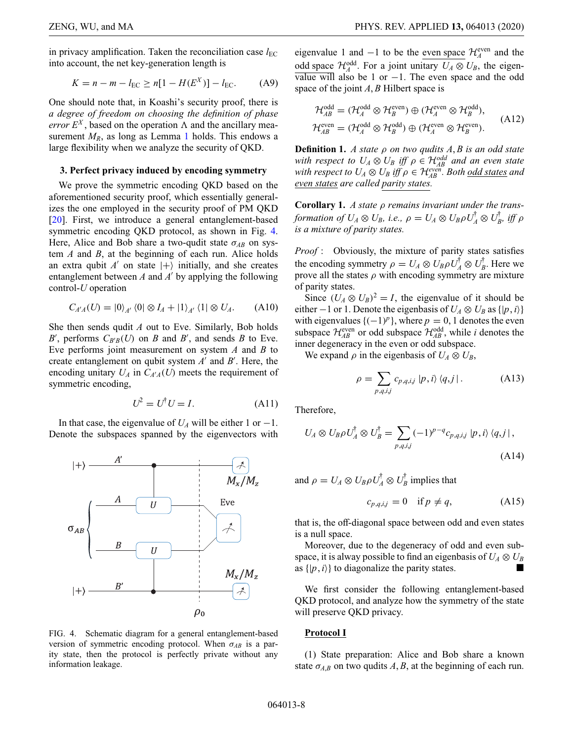in privacy amplification. Taken the reconciliation case  $l_{\text{EC}}$ into account, the net key-generation length is

$$
K = n - m - l_{\rm EC} \ge n[1 - H(E^X)] - l_{\rm EC}.
$$
 (A9)

One should note that, in Koashi's security proof, there is *a degree of freedom on choosing the definition of phase error*  $E^X$ , based on the operation  $\Lambda$  and the ancillary measurement  $M_R$ , as long as Lemma 1 holds. This endows a large flexibility when we analyze the security of QKD.

### **3. Perfect privacy induced by encoding symmetry**

We prove the symmetric encoding QKD based on the aforementioned security proof, which essentially generalizes the one employed in the security proof of PM QKD [\[20\]](#page-21-17). First, we introduce a general entanglement-based symmetric encoding QKD protocol, as shown in Fig. [4.](#page-7-0) Here, Alice and Bob share a two-qudit state  $\sigma_{AB}$  on system *A* and *B*, at the beginning of each run. Alice holds an extra qubit  $A'$  on state  $|+\rangle$  initially, and she creates entanglement between  $A$  and  $A'$  by applying the following control-*U* operation

$$
C_{A'A}(U) = |0\rangle_{A'} \langle 0| \otimes I_A + |1\rangle_{A'} \langle 1| \otimes U_A. \tag{A10}
$$

She then sends qudit *A* out to Eve. Similarly, Bob holds *B*<sup> $'$ </sup>, performs  $C_{B'B}(U)$  on *B* and *B*<sup> $'$ </sup>, and sends *B* to Eve. Eve performs joint measurement on system *A* and *B* to create entanglement on qubit system  $A'$  and  $B'$ . Here, the encoding unitary  $U_A$  in  $C_{A'A}(U)$  meets the requirement of symmetric encoding,

$$
U^2 = U^{\dagger} U = I. \tag{A11}
$$

In that case, the eigenvalue of  $U_A$  will be either 1 or  $-1$ . Denote the subspaces spanned by the eigenvectors with

<span id="page-7-0"></span>

FIG. 4. Schematic diagram for a general entanglement-based version of symmetric encoding protocol. When  $\sigma_{AB}$  is a parity state, then the protocol is perfectly private without any information leakage.

eigenvalue 1 and  $-1$  to be the <u>even space</u>  $\mathcal{H}_A^{\text{even}}$  and the odd space  $\mathcal{H}_A^{\text{odd}}$ . For a joint unitary  $U_A \otimes U_B$ , the eigen- $\overline{\text{value will}}$  also be 1 or −1. The even space and the odd space of the joint *A*, *B* Hilbert space is

$$
\mathcal{H}_{AB}^{\text{odd}} = (\mathcal{H}_{A}^{\text{odd}} \otimes \mathcal{H}_{B}^{\text{even}}) \oplus (\mathcal{H}_{A}^{\text{even}} \otimes \mathcal{H}_{B}^{\text{odd}}),
$$
  

$$
\mathcal{H}_{AB}^{\text{even}} = (\mathcal{H}_{A}^{\text{odd}} \otimes \mathcal{H}_{B}^{\text{odd}}) \oplus (\mathcal{H}_{A}^{\text{even}} \otimes \mathcal{H}_{B}^{\text{even}}).
$$
(A12)

**Definition 1.** *A state* ρ *on two qudits A*, *B is an odd state with respect to*  $U_A \otimes U_B$  *iff*  $\rho \in \mathcal{H}_{AB}^{odd}$  and an even state *with respect to*  $U_A \otimes U_B$  *iff*  $\rho \in \mathcal{H}_{AB}^{even}$ *. Both <u>odd states</u> and even states are called parity states.*

**Corollary 1.** *A state* ρ *remains invariant under the transformation of*  $U_A \otimes U_B$ *, i.e.,*  $\rho = U_A \otimes U_B \rho U_A^{\dagger} \otimes U_B^{\dagger}$ , iff  $\rho$ *is a mixture of parity states.*

*Proof* : Obviously, the mixture of parity states satisfies the encoding symmetry  $\rho = U_A \otimes U_B \rho U_A^{\dagger} \otimes U_B^{\dagger}$ . Here we prove all the states  $\rho$  with encoding symmetry are mixture of parity states.

Since  $(U_A \otimes U_B)^2 = I$ , the eigenvalue of it should be either  $-1$  or 1. Denote the eigenbasis of  $U_A \otimes U_B$  as  $\{|p, i\rangle\}$ with eigenvalues  $\{(-1)^p\}$ , where  $p = 0, 1$  denotes the even subspace  $\mathcal{H}_{AB}^{\text{even}}$  or odd subspace  $\mathcal{H}_{AB}^{\text{odd}}$ , while *i* denotes the inner degeneracy in the even or odd subspace.

We expand  $\rho$  in the eigenbasis of  $U_A \otimes U_B$ ,

$$
\rho = \sum_{p,q,i,j} c_{p,q,i,j} |p,i\rangle \langle q,j|.
$$
 (A13)

Therefore,

$$
U_A \otimes U_B \rho U_A^{\dagger} \otimes U_B^{\dagger} = \sum_{p,q,i,j} (-1)^{p-q} c_{p,q,i,j} |p,i\rangle \langle q,j|,
$$
\n(A14)

and  $\rho = U_A \otimes U_B \rho U_A^{\dagger} \otimes U_B^{\dagger}$  implies that

$$
c_{p,q,i,j} = 0 \quad \text{if } p \neq q,\tag{A15}
$$

that is, the off-diagonal space between odd and even states is a null space.

Moreover, due to the degeneracy of odd and even subspace, it is alway possible to find an eigenbasis of  $U_A \otimes U_B$ as  $\{|p, i\rangle\}$  to diagonalize the parity states.

We first consider the following entanglement-based QKD protocol, and analyze how the symmetry of the state will preserve QKD privacy.

# **Protocol I**

(1) State preparation: Alice and Bob share a known state  $\sigma_{A,B}$  on two qudits  $A, B$ , at the beginning of each run.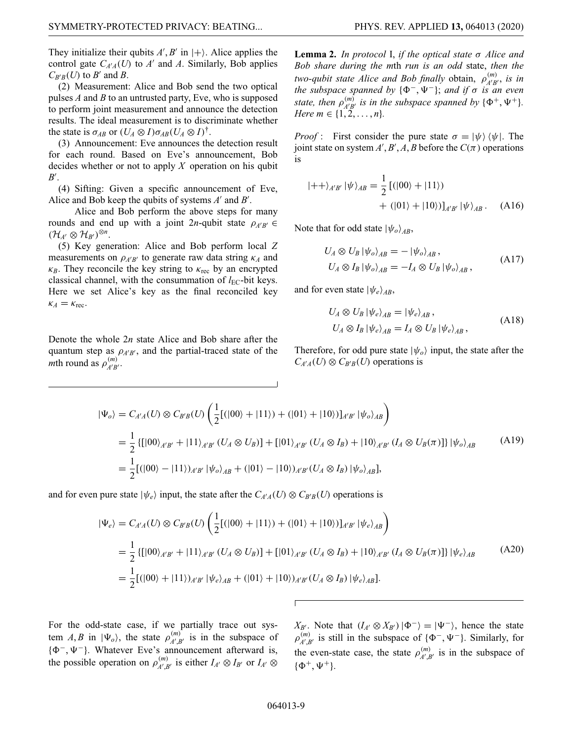They initialize their qubits  $A, B'$  in  $|+\rangle$ . Alice applies the control gate  $C_{A'A}(U)$  to  $A'$  and  $A$ . Similarly, Bob applies  $C_{B'B}(U)$  to *B'* and *B*.

(2) Measurement: Alice and Bob send the two optical pulses *A* and *B* to an untrusted party, Eve, who is supposed to perform joint measurement and announce the detection results. The ideal measurement is to discriminate whether the state is  $\sigma_{AB}$  or  $(U_A \otimes I)\sigma_{AB}(U_A \otimes I)^{\dagger}$ .

(3) Announcement: Eve announces the detection result for each round. Based on Eve's announcement, Bob decides whether or not to apply *X* operation on his qubit *B* .

(4) Sifting: Given a specific announcement of Eve, Alice and Bob keep the qubits of systems  $A'$  and  $B'$ .

Alice and Bob perform the above steps for many rounds and end up with a joint 2*n*-qubit state  $\rho_{A'B'} \in$  $(\mathcal{H}_{A'} \otimes \mathcal{H}_{B'})^{\otimes n}.$ 

(5) Key generation: Alice and Bob perform local *Z* measurements on  $\rho_{A'B'}$  to generate raw data string  $\kappa_A$  and  $\kappa_B$ . They reconcile the key string to  $\kappa_{\text{rec}}$  by an encrypted classical channel, with the consummation of  $l_{\text{EC}}$ -bit keys. Here we set Alice's key as the final reconciled key  $\kappa_A = \kappa_{\text{rec}}$ .

Denote the whole 2*n* state Alice and Bob share after the quantum step as  $\rho_{A'B'}$ , and the partial-traced state of the *m*th round as  $\rho_{A'B'}^{(m)}$ .

**Lemma 2.** *In protocol* I, *if the optical state* σ *Alice and Bob share during the m*th *run is an odd* state, *then the two-qubit state Alice and Bob finally obtain,*  $\rho_{A'B'}^{(m)}$ *, is in the subspace spanned by*  $\{\Phi^-, \Psi^-\}$ ; *and if*  $\sigma$  *is an even* state, then  $\rho_{A'B'}^{(m)}$  is in the subspace spanned by  $\{\Phi^+, \Psi^+\}$ . *Here*  $m \in \{1, 2, ..., n\}$ .

*Proof* : First consider the pure state  $\sigma = |\psi\rangle \langle \psi|$ . The joint state on system  $A'$ ,  $B'$ ,  $A$ ,  $B$  before the  $C(\pi)$  operations is

$$
|++\rangle_{A'B'} |\psi\rangle_{AB} = \frac{1}{2} [(|00\rangle + |11\rangle) + (|01\rangle + |10\rangle)]_{A'B'} |\psi\rangle_{AB}.
$$
 (A16)

Note that for odd state  $|\psi_{o}\rangle_{AB}$ ,

$$
U_A \otimes U_B |\psi_o\rangle_{AB} = -|\psi_o\rangle_{AB},
$$
  
\n
$$
U_A \otimes I_B |\psi_o\rangle_{AB} = -I_A \otimes U_B |\psi_o\rangle_{AB},
$$
\n(A17)

and for even state  $|\psi_e\rangle_{AB}$ ,

$$
U_A \otimes U_B |\psi_e\rangle_{AB} = |\psi_e\rangle_{AB},
$$
  
\n
$$
U_A \otimes I_B |\psi_e\rangle_{AB} = I_A \otimes U_B |\psi_e\rangle_{AB},
$$
\n(A18)

Therefore, for odd pure state  $|\psi_{o}\rangle$  input, the state after the  $C_{A'A}(U) \otimes C_{B'B}(U)$  operations is

$$
|\Psi_{o}\rangle = C_{A'A}(U) \otimes C_{B'B}(U) \left(\frac{1}{2} [(|00\rangle + |11\rangle) + (|01\rangle + |10\rangle)]_{A'B'} |\psi_{o}\rangle_{AB}\right)
$$
  
=  $\frac{1}{2} \{ [|00\rangle_{A'B'} + |11\rangle_{A'B'} (U_A \otimes U_B)] + [|01\rangle_{A'B'} (U_A \otimes I_B) + |10\rangle_{A'B'} (I_A \otimes U_B(\pi))] |\psi_{o}\rangle_{AB}$  (A19)  
=  $\frac{1}{2} [(|00\rangle - |11\rangle)_{A'B'} |\psi_{o}\rangle_{AB} + (|01\rangle - |10\rangle)_{A'B'} (U_A \otimes I_B) |\psi_{o}\rangle_{AB}],$ 

and for even pure state  $|\psi_e\rangle$  input, the state after the  $C_{A'A}(U) \otimes C_{B'B}(U)$  operations is

$$
|\Psi_{e}\rangle = C_{A'A}(U) \otimes C_{B'B}(U) \left(\frac{1}{2} [(|00\rangle + |11\rangle) + (|01\rangle + |10\rangle)]_{A'B'} |\psi_{e}\rangle_{AB}\right)
$$
  
=  $\frac{1}{2} \{ [|00\rangle_{A'B'} + |11\rangle_{A'B'} (U_{A} \otimes U_{B})] + [|01\rangle_{A'B'} (U_{A} \otimes I_{B}) + |10\rangle_{A'B'} (I_{A} \otimes U_{B}(\pi))] |\psi_{e}\rangle_{AB}$  (A20)  
=  $\frac{1}{2} [(|00\rangle + |11\rangle)_{A'B'} |\psi_{e}\rangle_{AB} + (|01\rangle + |10\rangle)_{A'B'} (U_{A} \otimes I_{B}) |\psi_{e}\rangle_{AB}].$ 

For the odd-state case, if we partially trace out system *A*, *B* in  $|\Psi_o\rangle$ , the state  $\rho_{A',B'}^{(m)}$  is in the subspace of  $\{\Phi^-, \Psi^-\}$ . Whatever Eve's announcement afterward is, the possible operation on  $\rho_{A',B'}^{(m)}$  is either  $I_{A'} \otimes I_{B'}$  or  $I_{A'} \otimes$ 

*X<sub>B'</sub>*. Note that  $(I_{A'} \otimes X_{B'}) | \Phi^{-} \rangle = | \Psi^{-} \rangle$ , hence the state  $\rho_{A',B'}^{(m)}$  is still in the subspace of  $\{\Phi^-, \Psi^-\}$ . Similarly, for the even-state case, the state  $\rho_{A',B'}^{(m)}$  is in the subspace of  $\{\Phi^+, \Psi^+\}.$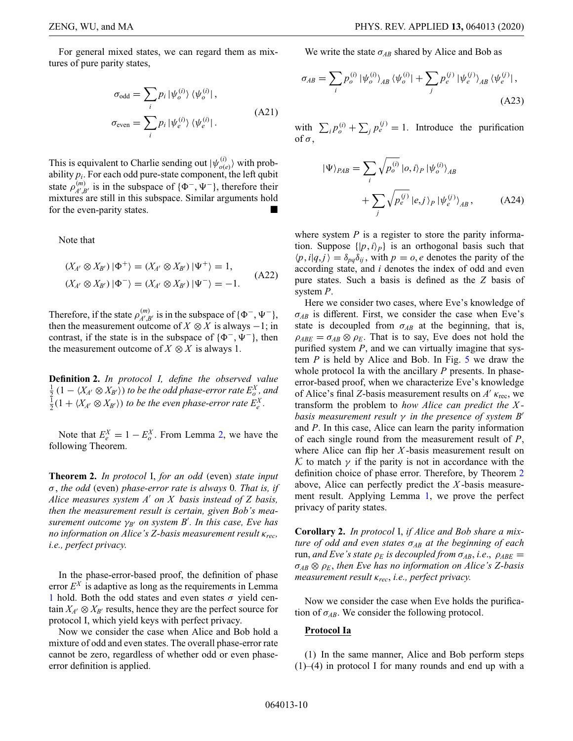For general mixed states, we can regard them as mixtures of pure parity states,

$$
\sigma_{\text{odd}} = \sum_{i} p_{i} | \psi_{o}^{(i)} \rangle \langle \psi_{o}^{(i)} |,
$$
  

$$
\sigma_{\text{even}} = \sum_{i} p_{i} | \psi_{e}^{(i)} \rangle \langle \psi_{e}^{(i)} |.
$$
 (A21)

This is equivalent to Charlie sending out  $|\psi_{o(e)}^{(i)}\rangle$  with probability  $p_i$ . For each odd pure-state component, the left qubit state  $\rho_{A',B'}^{(m)}$  is in the subspace of { $\Phi^-$ ,  $\Psi^-$ }, therefore their mixtures are still in this subspace. Similar arguments hold for the even-parity states.

Note that

$$
(X_{A'} \otimes X_{B'}) \mid \Phi^+ \rangle = (X_{A'} \otimes X_{B'}) \mid \Psi^+ \rangle = 1,
$$
  

$$
(X_{A'} \otimes X_{B'}) \mid \Phi^- \rangle = (X_{A'} \otimes X_{B'}) \mid \Psi^- \rangle = -1.
$$
 (A22)

Therefore, if the state  $\rho_{A',B'}^{(m)}$  is in the subspace of { $\Phi^{-}, \Psi^{-}$ }, then the measurement outcome of  $X \otimes X$  is always  $-1$ ; in contrast, if the state is in the subspace of  $\{\Phi^-, \Psi^-\}$ , then the measurement outcome of  $X \otimes X$  is always 1.

**Definition 2.** *In protocol I, define the observed value*  $\frac{1}{2}$   $(1 - \langle X_{A'} \otimes X_{B'} \rangle)$  *to be the odd phase-error rate*  $E_o^X$ *, and*  $\frac{1}{2}(1 + \langle X_{A'} \otimes X_{B'} \rangle)$  *to be the even phase-error rate*  $E_e^X$ *.* 

Note that  $E_e^X = 1 - E_o^X$ . From Lemma 2, we have the following Theorem.

**Theorem 2.** *In protocol* I, *for an odd* (even) *state input* σ, *the odd* (even) *phase-error rate is always* 0*. That is, if Alice measures system A on X basis instead of Z basis, then the measurement result is certain, given Bob's measurement outcome* γ*B on system B . In this case, Eve has no information on Alice's Z-basis measurement result* κ*rec, i.e., perfect privacy.*

In the phase-error-based proof, the definition of phase error  $E^X$  is adaptive as long as the requirements in Lemma 1 hold. Both the odd states and even states  $\sigma$  yield centain  $X_{A'} \otimes X_{B'}$  results, hence they are the perfect source for protocol I, which yield keys with perfect privacy.

Now we consider the case when Alice and Bob hold a mixture of odd and even states. The overall phase-error rate cannot be zero, regardless of whether odd or even phaseerror definition is applied.

We write the state  $\sigma_{AB}$  shared by Alice and Bob as

$$
\sigma_{AB} = \sum_{i} p_o^{(i)} |\psi_o^{(i)}\rangle_{AB} \langle \psi_o^{(i)}| + \sum_{j} p_e^{(j)} |\psi_e^{(j)}\rangle_{AB} \langle \psi_e^{(j)}|,
$$
\n(A23)

with  $\sum_i p_o^{(i)} + \sum_j p_e^{(j)} = 1$ . Introduce the purification of  $\sigma,$ 

<span id="page-9-0"></span>
$$
|\Psi\rangle_{PAB} = \sum_{i} \sqrt{p_o^{(i)}} |o, i\rangle_P |\psi_o^{(i)}\rangle_{AB}
$$

$$
+ \sum_{j} \sqrt{p_e^{(j)}} |e, j\rangle_P |\psi_e^{(j)}\rangle_{AB}, \qquad (A24)
$$

where system *P* is a register to store the parity information. Suppose  $\{|p, i \rangle_p\}$  is an orthogonal basis such that  $\langle p, i | q, j \rangle = \delta_{pq} \delta_{ij}$ , with  $p = 0$ , *e* denotes the parity of the according state, and *i* denotes the index of odd and even pure states. Such a basis is defined as the *Z* basis of system *P*.

Here we consider two cases, where Eve's knowledge of  $\sigma_{AB}$  is different. First, we consider the case when Eve's state is decoupled from  $\sigma_{AB}$  at the beginning, that is,  $\rho_{ABE} = \sigma_{AB} \otimes \rho_E$ . That is to say, Eve does not hold the purified system *P*, and we can virtually imagine that system *P* is held by Alice and Bob. In Fig. [5](#page-10-1) we draw the whole protocol Ia with the ancillary *P* presents. In phaseerror-based proof, when we characterize Eve's knowledge of Alice's final *Z*-basis measurement results on  $A'$   $\kappa_{\text{rec}}$ , we transform the problem to *how Alice can predict the X basis measurement result* γ *in the presence of system B* and *P*. In this case, Alice can learn the parity information of each single round from the measurement result of *P*, where Alice can flip her *X* -basis measurement result on *K* to match  $\gamma$  if the parity is not in accordance with the definition choice of phase error. Therefore, by Theorem 2 above, Alice can perfectly predict the *X* -basis measurement result. Applying Lemma 1, we prove the perfect privacy of parity states.

**Corollary 2.** *In protocol* I, *if Alice and Bob share a mixture of odd and even states* σ*AB at the beginning of each* run, *and Eve's state*  $\rho_E$  *is decoupled from*  $\sigma_{AB}$ *, i.e.,*  $\rho_{ABE}$  = σ*AB* ⊗ ρ*E*, *then Eve has no information on Alice's Z-basis measurement result* κ*rec*, *i.e., perfect privacy.*

Now we consider the case when Eve holds the purification of  $\sigma_{AB}$ . We consider the following protocol.

### **Protocol Ia**

(1) In the same manner, Alice and Bob perform steps  $(1)$ – $(4)$  in protocol I for many rounds and end up with a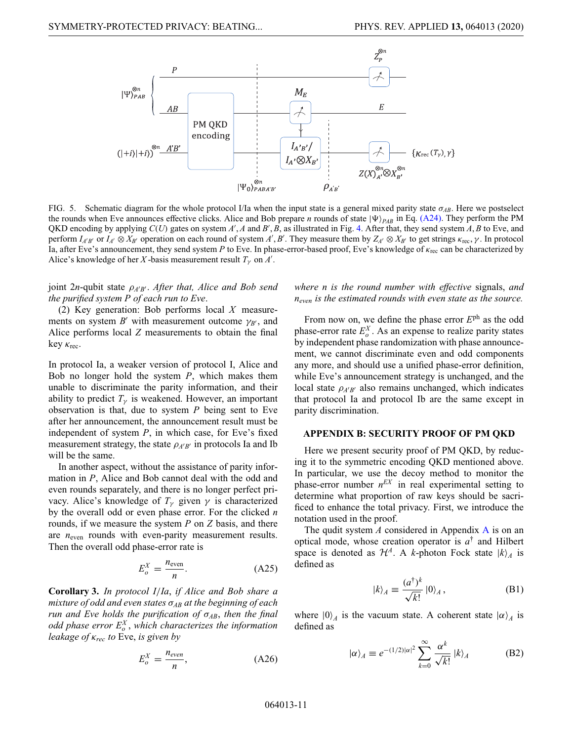<span id="page-10-1"></span>

FIG. 5. Schematic diagram for the whole protocol I/Ia when the input state is a general mixed parity state  $\sigma_{AB}$ . Here we postselect the rounds when Eve announces effective clicks. Alice and Bob prepare *n* rounds of state  $|\Psi\rangle_{PAB}$  in Eq. [\(A24\).](#page-9-0) They perform the PM QKD encoding by applying *C*(*U*) gates on system *A* , *A* and *B* , *B*, as illustrated in Fig. [4.](#page-7-0) After that, they send system *A*, *B* to Eve, and perform  $I_{A'B'}$  or  $I_{A'} \otimes X_{B'}$  operation on each round of system  $A', B'$ . They measure them by  $Z_{A'} \otimes X_{B'}$  to get strings  $\kappa_{\text{rec}}, \gamma$ . In protocol Ia, after Eve's announcement, they send system *P* to Eve. In phase-error-based proof, Eve's knowledge of κrec can be characterized by Alice's knowledge of her *X*-basis measurement result  $T_\gamma$  on  $A'$ .

*joint 2n*-qubit state  $ρ<sub>A'B'</sub>$ . After that, Alice and Bob send *the purified system P of each run to Eve*.

(2) Key generation: Bob performs local *X* measurements on system  $B'$  with measurement outcome  $\gamma_{B'}$ , and Alice performs local *Z* measurements to obtain the final key  $\kappa_{\text{rec}}$ .

In protocol Ia, a weaker version of protocol I, Alice and Bob no longer hold the system *P*, which makes them unable to discriminate the parity information, and their ability to predict  $T_{\gamma}$  is weakened. However, an important observation is that, due to system *P* being sent to Eve after her announcement, the announcement result must be independent of system *P*, in which case, for Eve's fixed measurement strategy, the state  $\rho_{A'B'}$  in protocols Ia and Ib will be the same.

In another aspect, without the assistance of parity information in *P*, Alice and Bob cannot deal with the odd and even rounds separately, and there is no longer perfect privacy. Alice's knowledge of  $T_\gamma$  given  $\gamma$  is characterized by the overall odd or even phase error. For the clicked *n* rounds, if we measure the system *P* on *Z* basis, and there are  $n_{\text{even}}$  rounds with even-parity measurement results. Then the overall odd phase-error rate is

$$
E_o^X = \frac{n_{\text{even}}}{n}.\tag{A25}
$$

**Corollary 3.** *In protocol I*/*Ia*, *if Alice and Bob share a mixture of odd and even states* σ*AB at the beginning of each run and Eve holds the purification of* σ*AB*, *then the final odd phase error E<sup>X</sup> <sup>o</sup>* , *which characterizes the information leakage of* κ*rec to* Eve, *is given by*

$$
E_o^X = \frac{n_{even}}{n},\tag{A26}
$$

*where n is the round number with effective* signals, *and neven is the estimated rounds with even state as the source.*

From now on, we define the phase error *E*ph as the odd phase-error rate  $E_o^X$ . As an expense to realize parity states by independent phase randomization with phase announcement, we cannot discriminate even and odd components any more, and should use a unified phase-error definition, while Eve's announcement strategy is unchanged, and the local state  $\rho_{A'B'}$  also remains unchanged, which indicates that protocol Ia and protocol Ib are the same except in parity discrimination.

#### <span id="page-10-0"></span>**APPENDIX B: SECURITY PROOF OF PM QKD**

Here we present security proof of PM QKD, by reducing it to the symmetric encoding QKD mentioned above. In particular, we use the decoy method to monitor the phase-error number  $n<sup>EX</sup>$  in real experimental setting to determine what proportion of raw keys should be sacrificed to enhance the total privacy. First, we introduce the notation used in the proof.

The qudit system *A* considered in Appendix [A](#page-5-0) is on an optical mode, whose creation operator is *a*† and Hilbert space is denoted as  $\mathcal{H}^A$ . A *k*-photon Fock state  $|k\rangle_A$  is defined as

$$
|k\rangle_A \equiv \frac{(a^\dagger)^k}{\sqrt{k!}} \; |0\rangle_A \,, \tag{B1}
$$

where  $|0\rangle_A$  is the vacuum state. A coherent state  $|\alpha\rangle_A$  is defined as

$$
|\alpha\rangle_{A} \equiv e^{-(1/2)|\alpha|^{2}} \sum_{k=0}^{\infty} \frac{\alpha^{k}}{\sqrt{k!}} |k\rangle_{A}
$$
 (B2)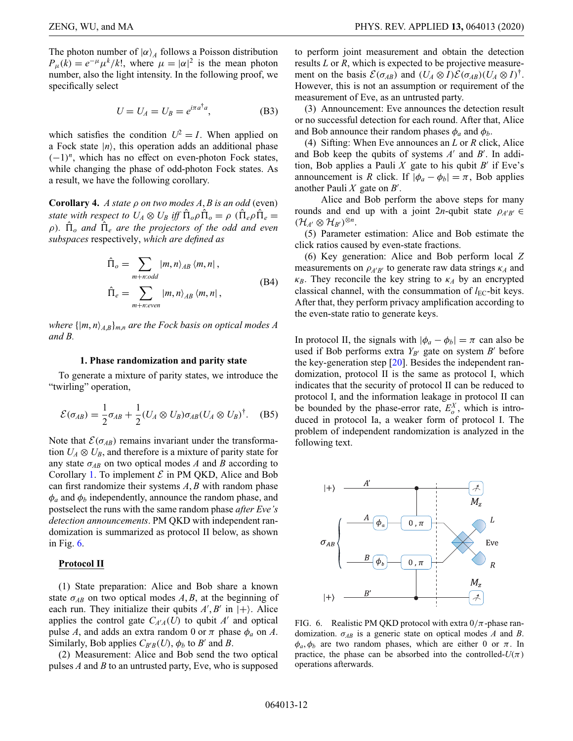The photon number of  $|\alpha\rangle_A$  follows a Poisson distribution  $P_{\mu}(k) = e^{-\mu} \mu^{k}/k!$ , where  $\mu = |\alpha|^2$  is the mean photon number, also the light intensity. In the following proof, we specifically select

$$
U = U_A = U_B = e^{i\pi a^\dagger a},
$$
 (B3)

which satisfies the condition  $U^2 = I$ . When applied on a Fock state  $|n\rangle$ , this operation adds an additional phase  $(-1)^n$ , which has no effect on even-photon Fock states, while changing the phase of odd-photon Fock states. As a result, we have the following corollary.

**Corollary 4.** *A state* ρ *on two modes A*, *B is an odd* (even) *state with respect to*  $U_A \otimes U_B$  *iff*  $\hat{\Pi}_o \rho \hat{\Pi}_o = \rho (\hat{\Pi}_e \rho \hat{\Pi}_e =$  $\rho$ ).  $\hat{\Pi}_{o}$  and  $\hat{\Pi}_{e}$  are the projectors of the odd and even *subspaces* respectively, *which are defined as*

$$
\hat{\Pi}_o = \sum_{m+n:odd} |m, n\rangle_{AB} \langle m, n|,
$$
  

$$
\hat{\Pi}_e = \sum_{m+n:even} |m, n\rangle_{AB} \langle m, n|,
$$
 (B4)

*where*  $\{|m, n\rangle_{A,B}\}_{m,n}$  *are the Fock basis on optical modes A and B.*

#### **1. Phase randomization and parity state**

To generate a mixture of parity states, we introduce the "twirling" operation,

$$
\mathcal{E}(\sigma_{AB}) = \frac{1}{2}\sigma_{AB} + \frac{1}{2}(U_A \otimes U_B)\sigma_{AB}(U_A \otimes U_B)^{\dagger}.
$$
 (B5)

Note that  $\mathcal{E}(\sigma_{AB})$  remains invariant under the transformation  $U_A \otimes U_B$ , and therefore is a mixture of parity state for any state  $\sigma_{AB}$  on two optical modes *A* and *B* according to Corollary 1. To implement  $\mathcal E$  in PM QKD, Alice and Bob can first randomize their systems *A*, *B* with random phase  $\phi_a$  and  $\phi_b$  independently, announce the random phase, and postselect the runs with the same random phase *after Eve's detection announcements*. PM QKD with independent randomization is summarized as protocol II below, as shown in Fig.  $6$ .

#### **Protocol II**

(1) State preparation: Alice and Bob share a known state  $\sigma_{AB}$  on two optical modes  $A, B$ , at the beginning of each run. They initialize their qubits  $A', B'$  in  $|+\rangle$ . Alice applies the control gate  $C_{A'A}(U)$  to qubit  $A'$  and optical pulse *A*, and adds an extra random 0 or  $\pi$  phase  $\phi_a$  on *A*. Similarly, Bob applies  $C_{B'B}(U)$ ,  $\phi_b$  to *B'* and *B*.

(2) Measurement: Alice and Bob send the two optical pulses *A* and *B* to an untrusted party, Eve, who is supposed to perform joint measurement and obtain the detection results *L* or *R*, which is expected to be projective measurement on the basis  $\mathcal{E}(\sigma_{AB})$  and  $(U_A \otimes I)\mathcal{E}(\sigma_{AB})(U_A \otimes I)^{\dagger}$ . However, this is not an assumption or requirement of the measurement of Eve, as an untrusted party.

(3) Announcement: Eve announces the detection result or no successful detection for each round. After that, Alice and Bob announce their random phases  $\phi_a$  and  $\phi_b$ .

(4) Sifting: When Eve announces an *L* or *R* click, Alice and Bob keep the qubits of systems A' and B'. In addition, Bob applies a Pauli X gate to his qubit  $B'$  if Eve's announcement is *R* click. If  $|\phi_a - \phi_b| = \pi$ , Bob applies another Pauli *X* gate on *B* .

Alice and Bob perform the above steps for many rounds and end up with a joint 2*n*-qubit state  $\rho_{A'B'} \in$  $(\mathcal{H}_{A'} \otimes \mathcal{H}_{B'})^{\otimes n}.$ 

(5) Parameter estimation: Alice and Bob estimate the click ratios caused by even-state fractions.

(6) Key generation: Alice and Bob perform local *Z* measurements on  $\rho_{A'B'}$  to generate raw data strings  $\kappa_A$  and  $\kappa_B$ . They reconcile the key string to  $\kappa_A$  by an encrypted classical channel, with the consummation of  $l_{\text{EC}}$ -bit keys. After that, they perform privacy amplification according to the even-state ratio to generate keys.

In protocol II, the signals with  $|\phi_a - \phi_b| = \pi$  can also be used if Bob performs extra  $Y_{B'}$  gate on system  $B'$  before the key-generation step [\[20\]](#page-21-17). Besides the independent randomization, protocol II is the same as protocol I, which indicates that the security of protocol II can be reduced to protocol I, and the information leakage in protocol II can be bounded by the phase-error rate,  $E_o^X$ , which is introduced in protocol Ia, a weaker form of protocol I. The problem of independent randomization is analyzed in the following text.

<span id="page-11-0"></span>

FIG. 6. Realistic PM QKD protocol with extra  $0/\pi$ -phase randomization. σ*AB* is a generic state on optical modes *A* and *B*.  $\phi_a, \phi_b$  are two random phases, which are either 0 or  $\pi$ . In practice, the phase can be absorbed into the controlled- $U(\pi)$ operations afterwards.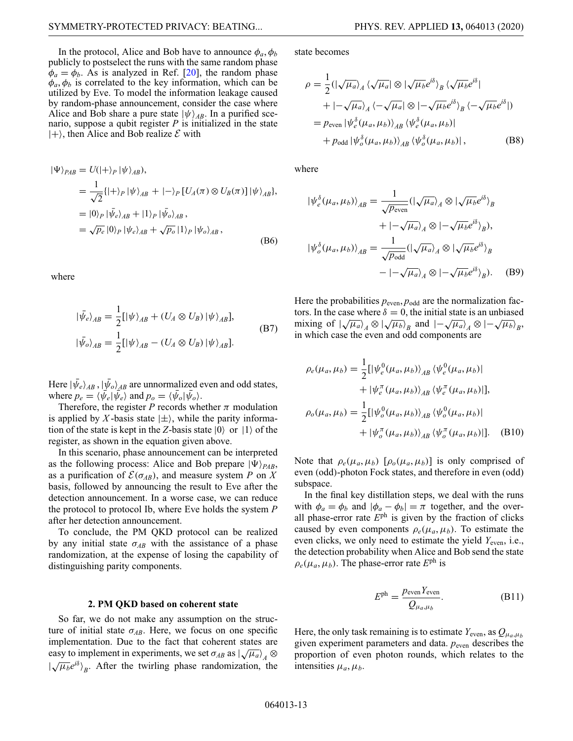In the protocol, Alice and Bob have to announce  $\phi_a, \phi_b$ publicly to postselect the runs with the same random phase  $\phi_a = \phi_b$ . As is analyzed in Ref. [\[20\]](#page-21-17), the random phase  $\phi_a, \phi_b$  is correlated to the key information, which can be utilized by Eve. To model the information leakage caused by random-phase announcement, consider the case where Alice and Bob share a pure state  $|\psi\rangle_{AB}$ . In a purified scenario, suppose a qubit register *P* is initialized in the state  $|+\rangle$ , then Alice and Bob realize  $\mathcal E$  with

$$
\begin{aligned} |\Psi\rangle_{PAB} &= U(|+\rangle_P |\psi\rangle_{AB}), \\ &= \frac{1}{\sqrt{2}} \{ |\pm \rangle_P |\psi\rangle_{AB} + |-\rangle_P [U_A(\pi) \otimes U_B(\pi)] |\psi\rangle_{AB} \}, \\ &= |0\rangle_P |\bar{\psi}_e\rangle_{AB} + |1\rangle_P |\bar{\psi}_o\rangle_{AB}, \\ &= \sqrt{P_e} |0\rangle_P |\psi_e\rangle_{AB} + \sqrt{P_o} |1\rangle_P |\psi_o\rangle_{AB}, \end{aligned} \tag{B6}
$$

where

$$
|\bar{\psi}_e\rangle_{AB} = \frac{1}{2} [|\psi\rangle_{AB} + (U_A \otimes U_B) |\psi\rangle_{AB}],
$$
  
\n
$$
|\bar{\psi}_o\rangle_{AB} = \frac{1}{2} [|\psi\rangle_{AB} - (U_A \otimes U_B) |\psi\rangle_{AB}].
$$
 (B7)

Here  $|\bar{\psi}_e\rangle_{AB}$  ,  $|\bar{\psi}_o\rangle_{AB}$  are unnormalized even and odd states, where  $p_e = \langle \bar{\psi}_e | \psi_e \rangle$  and  $p_o = \langle \bar{\psi}_o | \bar{\psi}_o \rangle$ .

Therefore, the register *P* records whether  $\pi$  modulation is applied by *X*-basis state  $|\pm\rangle$ , while the parity information of the state is kept in the *Z*-basis state  $|0\rangle$  or  $|1\rangle$  of the register, as shown in the equation given above.

In this scenario, phase announcement can be interpreted as the following process: Alice and Bob prepare  $|\Psi\rangle_{PAB}$ , as a purification of  $\mathcal{E}(\sigma_{AB})$ , and measure system *P* on *X* basis, followed by announcing the result to Eve after the detection announcement. In a worse case, we can reduce the protocol to protocol Ib, where Eve holds the system *P* after her detection announcement.

To conclude, the PM QKD protocol can be realized by any initial state  $\sigma_{AB}$  with the assistance of a phase randomization, at the expense of losing the capability of distinguishing parity components.

### **2. PM QKD based on coherent state**

So far, we do not make any assumption on the structure of initial state  $\sigma_{AB}$ . Here, we focus on one specific implementation. Due to the fact that coherent states are easy to implement in experiments, we set  $\sigma_{AB}$  as  $\sqrt{\mu_a}$   $\sqrt{a}$  $|\sqrt{\mu_b}e^{i\delta}\rangle_B$ . After the twirling phase randomization, the

<span id="page-12-1"></span>

state becomes

$$
\rho = \frac{1}{2} \left( |\sqrt{\mu_a} \rangle_A \left\langle \sqrt{\mu_a} \right| \otimes |\sqrt{\mu_b} e^{i\delta} \right\rangle_B \left\langle \sqrt{\mu_b} e^{i\delta} \right|
$$
  
+ 
$$
\left| -\sqrt{\mu_a} \right\rangle_A \left\langle -\sqrt{\mu_a} \right| \otimes \left| -\sqrt{\mu_b} e^{i\delta} \right\rangle_B \left\langle -\sqrt{\mu_b} e^{i\delta} \right| \right)
$$
  
= 
$$
p_{\text{even}} \left| \psi_e^{\delta} (\mu_a, \mu_b) \right\rangle_{AB} \left\langle \psi_e^{\delta} (\mu_a, \mu_b) \right|
$$
  
+ 
$$
p_{\text{odd}} \left| \psi_o^{\delta} (\mu_a, \mu_b) \right\rangle_{AB} \left\langle \psi_e^{\delta} (\mu_a, \mu_b) \right|,
$$
 (B8)

where

$$
\begin{split} \left| \psi_e^{\delta}(\mu_a, \mu_b) \right\rangle_{AB} &= \frac{1}{\sqrt{p_{\text{even}}}} \left( \left| \sqrt{\mu_a} \right\rangle_A \otimes \left| \sqrt{\mu_b} e^{i\delta} \right\rangle_B \\ &+ \left| -\sqrt{\mu_a} \right\rangle_A \otimes \left| -\sqrt{\mu_b} e^{i\delta} \right\rangle_B \right), \\ \left| \psi_o^{\delta}(\mu_a, \mu_b) \right\rangle_{AB} &= \frac{1}{\sqrt{p_{\text{odd}}}} \left( \left| \sqrt{\mu_a} \right\rangle_A \otimes \left| \sqrt{\mu_b} e^{i\delta} \right\rangle_B \\ &- \left| -\sqrt{\mu_a} \right\rangle_A \otimes \left| -\sqrt{\mu_b} e^{i\delta} \right\rangle_B \right). \end{split} \tag{B9}
$$

Here the probabilities  $p_{\text{even}}$ ,  $p_{\text{odd}}$  are the normalization factors. In the case where  $\delta = 0$ , the initial state is an unbiased mixing of  $|\sqrt{\mu_a}\rangle_A \otimes |\sqrt{\mu_b}\rangle_B$  and  $|-\sqrt{\mu_a}\rangle_A \otimes |-\sqrt{\mu_b}\rangle_B$ , in which case the even and odd components are

$$
\rho_e(\mu_a, \mu_b) = \frac{1}{2} [|\psi_e^0(\mu_a, \mu_b)\rangle_{AB} \langle \psi_e^0(\mu_a, \mu_b)|
$$
  
+  $|\psi_e^{\pi}(\mu_a, \mu_b)\rangle_{AB} \langle \psi_e^{\pi}(\mu_a, \mu_b)|],$   

$$
\rho_o(\mu_a, \mu_b) = \frac{1}{2} [|\psi_o^0(\mu_a, \mu_b)\rangle_{AB} \langle \psi_o^0(\mu_a, \mu_b)|]
$$
  
+  $|\psi_o^{\pi}(\mu_a, \mu_b)\rangle_{AB} \langle \psi_o^{\pi}(\mu_a, \mu_b)|].$  (B10)

Note that  $\rho_e(\mu_a, \mu_b)$  [ $\rho_o(\mu_a, \mu_b)$ ] is only comprised of even (odd)-photon Fock states, and therefore in even (odd) subspace.

In the final key distillation steps, we deal with the runs with  $\phi_a = \phi_b$  and  $|\phi_a - \phi_b| = \pi$  together, and the overall phase-error rate *E*ph is given by the fraction of clicks caused by even components  $\rho_e(\mu_a, \mu_b)$ . To estimate the even clicks, we only need to estimate the yield *Y*<sub>even</sub>, i.e., the detection probability when Alice and Bob send the state  $\rho_e(\mu_a, \mu_b)$ . The phase-error rate  $E^{\text{ph}}$  is

<span id="page-12-0"></span>
$$
E^{\text{ph}} = \frac{p_{\text{even}} Y_{\text{even}}}{Q_{\mu_a, \mu_b}}.
$$
 (B11)

Here, the only task remaining is to estimate  $Y_{\text{even}}$ , as  $Q_{\mu_a,\mu_b}$ given experiment parameters and data.  $p_{\text{even}}$  describes the proportion of even photon rounds, which relates to the intensities  $\mu_a, \mu_b$ .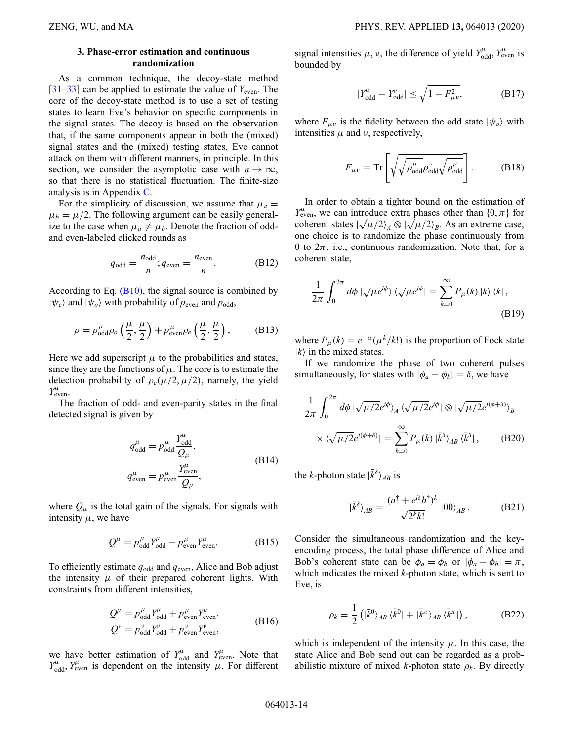### **3. Phase-error estimation and continuous randomization**

As a common technique, the decoy-state method  $[31-33]$  $[31-33]$  can be applied to estimate the value of  $Y_{\text{even}}$ . The core of the decoy-state method is to use a set of testing states to learn Eve's behavior on specific components in the signal states. The decoy is based on the observation that, if the same components appear in both the (mixed) signal states and the (mixed) testing states, Eve cannot attack on them with different manners, in principle. In this section, we consider the asymptotic case with  $n \to \infty$ , so that there is no statistical fluctuation. The finite-size analysis is in Appendix [C.](#page-17-0)

For the simplicity of discussion, we assume that  $\mu_a =$  $\mu_b = \mu/2$ . The following argument can be easily generalize to the case when  $\mu_a \neq \mu_b$ . Denote the fraction of oddand even-labeled clicked rounds as

$$
q_{\text{odd}} = \frac{n_{\text{odd}}}{n}; q_{\text{even}} = \frac{n_{\text{even}}}{n}.
$$
 (B12)

According to Eq.  $(B10)$ , the signal source is combined by  $|\psi_e\rangle$  and  $|\psi_o\rangle$  with probability of  $p_{\text{even}}$  and  $p_{\text{odd}}$ ,

$$
\rho = p_{\text{odd}}^{\mu} \rho_o \left(\frac{\mu}{2}, \frac{\mu}{2}\right) + p_{\text{even}}^{\mu} \rho_e \left(\frac{\mu}{2}, \frac{\mu}{2}\right),\tag{B13}
$$

Here we add superscript  $\mu$  to the probabilities and states, since they are the functions of  $\mu$ . The core is to estimate the detection probability of  $\rho_e(\mu/2, \mu/2)$ , namely, the yield  $Y_{\text{even}}^{\mu}$ .

The fraction of odd- and even-parity states in the final detected signal is given by

$$
q^{\mu}_{odd} = p^{\mu}_{odd} \frac{Y^{\mu}_{odd}}{Q_{\mu}},
$$
  
\n
$$
q^{\mu}_{even} = p^{\mu}_{even} \frac{Y^{\mu}_{even}}{Q_{\mu}},
$$
\n(B14)

where  $Q_{\mu}$  is the total gain of the signals. For signals with intensity  $\mu$ , we have

$$
Q^{\mu} = p_{\text{odd}}^{\mu} Y_{\text{odd}}^{\mu} + p_{\text{even}}^{\mu} Y_{\text{even}}^{\mu}.
$$
 (B15)

To efficiently estimate *q*odd and *q*even, Alice and Bob adjust the intensity  $\mu$  of their prepared coherent lights. With constraints from different intensities,

$$
Q^{\mu} = p_{\text{odd}}^{\mu} Y_{\text{odd}}^{\mu} + p_{\text{even}}^{\mu} Y_{\text{even}}^{\mu},
$$
  
\n
$$
Q^{\nu} = p_{\text{odd}}^{\nu} Y_{\text{odd}}^{\nu} + p_{\text{even}}^{\nu} Y_{\text{even}}^{\nu},
$$
\n(B16)

we have better estimation of  $Y_{\text{odd}}^{\mu}$  and  $Y_{\text{even}}^{\mu}$ . Note that  $Y^{\mu}_{odd}$ ,  $Y^{\mu}_{even}$  is dependent on the intensity  $\mu$ . For different

signal intensities  $\mu$ ,  $\nu$ , the difference of yield  $Y_{odd}^{\mu}$ ,  $Y_{even}^{\mu}$  is bounded by

<span id="page-13-1"></span>
$$
|Y_{\text{odd}}^{\mu} - Y_{\text{odd}}^{\nu}| \le \sqrt{1 - F_{\mu\nu}^{2}}, \tag{B17}
$$

where  $F_{\mu\nu}$  is the fidelity between the odd state  $|\psi_o\rangle$  with intensities  $\mu$  and  $\nu$ , respectively,

$$
F_{\mu\nu} = \text{Tr}\left[\sqrt{\sqrt{\rho_{\text{odd}}^{\mu} \rho_{\text{odd}}^{\nu}} \sqrt{\rho_{\text{odd}}^{\mu}}}\right].
$$
 (B18)

In order to obtain a tighter bound on the estimation of  $Y_{\text{even}}^{\mu}$ , we can introduce extra phases other than  $\{0, \pi\}$  for  $T_{\text{even}}$ , we can introduce extra phases other than  $\{0, \pi\}$  for coherent states  $\left|\sqrt{\mu/2}\right\rangle_A \otimes \left|\sqrt{\mu/2}\right\rangle_B$ . As an extreme case, one choice is to randomize the phase continuously from 0 to  $2\pi$ , i.e., continuous randomization. Note that, for a coherent state,

$$
\frac{1}{2\pi} \int_0^{2\pi} d\phi \, |\sqrt{\mu} e^{i\phi}\rangle \, \langle \sqrt{\mu} e^{i\phi}| = \sum_{k=0}^\infty P_\mu(k) \, |k\rangle \, \langle k| \,,
$$
\n(B19)

where  $P_{\mu}(k) = e^{-\mu}(\mu^{k}/k!)$  is the proportion of Fock state  $|k\rangle$  in the mixed states.

If we randomize the phase of two coherent pulses simultaneously, for states with  $|\phi_a - \phi_b| = \delta$ , we have

$$
\frac{1}{2\pi} \int_0^{2\pi} d\phi \, |\sqrt{\mu/2} e^{i\phi}\rangle_A \, \langle \sqrt{\mu/2} e^{i\phi} | \otimes |\sqrt{\mu/2} e^{i(\phi+\delta)}\rangle_B
$$
\n
$$
\times \, \langle \sqrt{\mu/2} e^{i(\phi+\delta)} | = \sum_{k=0}^\infty P_\mu(k) \, |\bar{k}^\delta\rangle_{AB} \, \langle \bar{k}^\delta | \,, \qquad \text{(B20)}
$$

the *k*-photon state  $|\bar{k}^{\delta}\rangle_{AB}$  is

<span id="page-13-0"></span>
$$
|\bar{k}^{\delta}\rangle_{AB} = \frac{(a^{\dagger} + e^{i\delta}b^{\dagger})^k}{\sqrt{2^k k!}}|00\rangle_{AB}.
$$
 (B21)

Consider the simultaneous randomization and the keyencoding process, the total phase difference of Alice and Bob's coherent state can be  $\phi_a = \phi_b$  or  $|\phi_a - \phi_b| = \pi$ , which indicates the mixed *k*-photon state, which is sent to Eve, is

$$
\rho_k = \frac{1}{2} \left( |\bar{k}^0\rangle_{AB} \langle \bar{k}^0| + |\bar{k}^\pi\rangle_{AB} \langle \bar{k}^\pi| \right), \tag{B22}
$$

which is independent of the intensity  $\mu$ . In this case, the state Alice and Bob send out can be regarded as a probabilistic mixture of mixed *k*-photon state  $\rho_k$ . By directly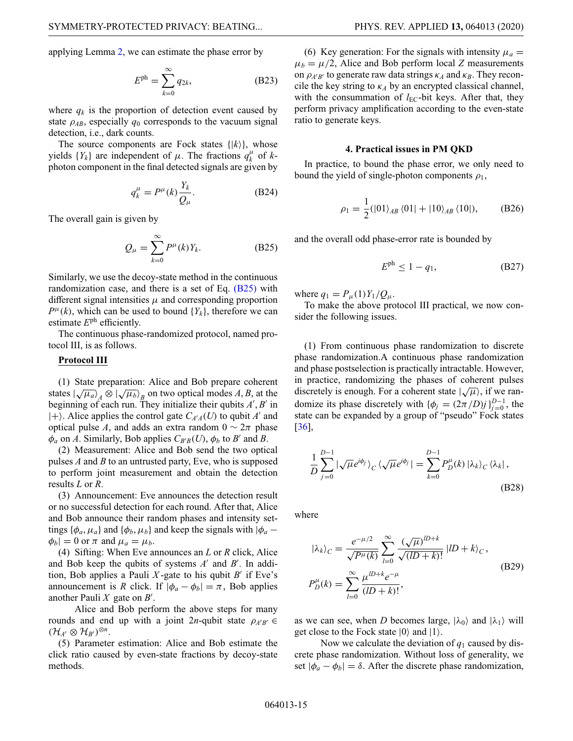applying Lemma 2, we can estimate the phase error by

$$
E^{\text{ph}} = \sum_{k=0}^{\infty} q_{2k},
$$
 (B23)

where  $q_k$  is the proportion of detection event caused by state  $\rho_{AB}$ , especially  $q_0$  corresponds to the vacuum signal detection, i.e., dark counts.

The source components are Fock states  $\{ |k\rangle \}$ , whose yields  $\{Y_k\}$  are independent of  $\mu$ . The fractions  $q_k^{\mu}$  of  $k$ photon component in the final detected signals are given by

$$
q_k^{\mu} = P^{\mu}(k) \frac{Y_k}{Q_{\mu}}.
$$
 (B24)

The overall gain is given by

$$
Q_{\mu} = \sum_{k=0}^{\infty} P^{\mu}(k) Y_k.
$$
 (B25)

Similarly, we use the decoy-state method in the continuous randomization case, and there is a set of Eq. [\(B25\)](#page-14-0) with different signal intensities  $\mu$  and corresponding proportion  $P^{\mu}(k)$ , which can be used to bound  $\{Y_k\}$ , therefore we can estimate *E*ph efficiently.

The continuous phase-randomized protocol, named protocol III, is as follows.

# **Protocol III**

(1) State preparation: Alice and Bob prepare coherent states  $\left(\sqrt{\mu_a}\right)_A \otimes \left(\sqrt{\mu_b}\right)_B$  on two optical modes *A*, *B*, at the beginning of each run. They initialize their qubits *A* , *B* in  $|+\rangle$ . Alice applies the control gate  $C_{A'A}(U)$  to qubit *A'* and optical pulse *A*, and adds an extra random  $0 \sim 2\pi$  phase  $\phi_a$  on *A*. Similarly, Bob applies  $C_{B'B}(U)$ ,  $\phi_b$  to *B'* and *B*.

(2) Measurement: Alice and Bob send the two optical pulses *A* and *B* to an untrusted party, Eve, who is supposed to perform joint measurement and obtain the detection results *L* or *R*.

(3) Announcement: Eve announces the detection result or no successful detection for each round. After that, Alice and Bob announce their random phases and intensity settings { $\phi_a$ ,  $\mu_a$ } and { $\phi_b$ ,  $\mu_b$ } and keep the signals with  $|\phi_a |\phi_b| = 0$  or  $\pi$  and  $\mu_a = \mu_b$ .

(4) Sifting: When Eve announces an *L* or *R* click, Alice and Bob keep the qubits of systems A' and B'. In addition, Bob applies a Pauli  $X$ -gate to his qubit  $B'$  if Eve's announcement is *R* click. If  $|\phi_a - \phi_b| = \pi$ , Bob applies another Pauli *X* gate on *B* .

Alice and Bob perform the above steps for many rounds and end up with a joint 2*n*-qubit state  $\rho_{A'B'} \in$  $(\mathcal{H}_{A} \otimes \mathcal{H}_{B})^{\otimes n}$ .

(5) Parameter estimation: Alice and Bob estimate the click ratio caused by even-state fractions by decoy-state methods.

(6) Key generation: For the signals with intensity  $\mu_a =$  $\mu_b = \mu/2$ , Alice and Bob perform local *Z* measurements on  $\rho_{A'B'}$  to generate raw data strings  $\kappa_A$  and  $\kappa_B$ . They reconcile the key string to  $\kappa_A$  by an encrypted classical channel, with the consummation of  $l_{EC}$ -bit keys. After that, they perform privacy amplification according to the even-state ratio to generate keys.

#### <span id="page-14-2"></span>**4. Practical issues in PM QKD**

In practice, to bound the phase error, we only need to bound the yield of single-photon components  $\rho_1$ ,

$$
\rho_1 = \frac{1}{2} (|01\rangle_{AB} \langle 01| + |10\rangle_{AB} \langle 10|), \quad (B26)
$$

<span id="page-14-0"></span>and the overall odd phase-error rate is bounded by

<span id="page-14-1"></span>
$$
E^{\text{ph}} \le 1 - q_1,\tag{B27}
$$

where  $q_1 = P_{\mu}(1)Y_1/Q_{\mu}$ .

To make the above protocol III practical, we now consider the following issues.

(1) From continuous phase randomization to discrete phase randomization.A continuous phase randomization and phase postselection is practically intractable. However, in practice, randomizing the phases of coherent pulses discretely is enough. For a coherent state  $\langle \sqrt{\mu} \rangle$ , if we randomize its phase discretely with  $\{\phi_j = (2\pi/D)j\}_{j=0}^{D-1}$ , the state can be expanded by a group of "pseudo" Fock states [\[36\]](#page-22-4),

$$
\frac{1}{D} \sum_{j=0}^{D-1} |\sqrt{\mu} e^{i\phi_j} \rangle_C \langle \sqrt{\mu} e^{i\phi_j} | = \sum_{k=0}^{D-1} P_D^{\mu}(k) |\lambda_k\rangle_C \langle \lambda_k |,
$$
\n(B28)

where

$$
|\lambda_{k}\rangle_{C} = \frac{e^{-\mu/2}}{\sqrt{P^{\mu}(k)}} \sum_{l=0}^{\infty} \frac{(\sqrt{\mu})^{lD+k}}{\sqrt{(lD+k)!}} |lD+k\rangle_{C},
$$
  
\n
$$
P_{D}^{\mu}(k) = \sum_{l=0}^{\infty} \frac{\mu^{lD+k} e^{-\mu}}{(lD+k)!},
$$
\n(B29)

as we can see, when *D* becomes large,  $|\lambda_0\rangle$  and  $|\lambda_1\rangle$  will get close to the Fock state  $|0\rangle$  and  $|1\rangle$ .

Now we calculate the deviation of  $q_1$  caused by discrete phase randomization. Without loss of generality, we set  $|\phi_a - \phi_b| = \delta$ . After the discrete phase randomization,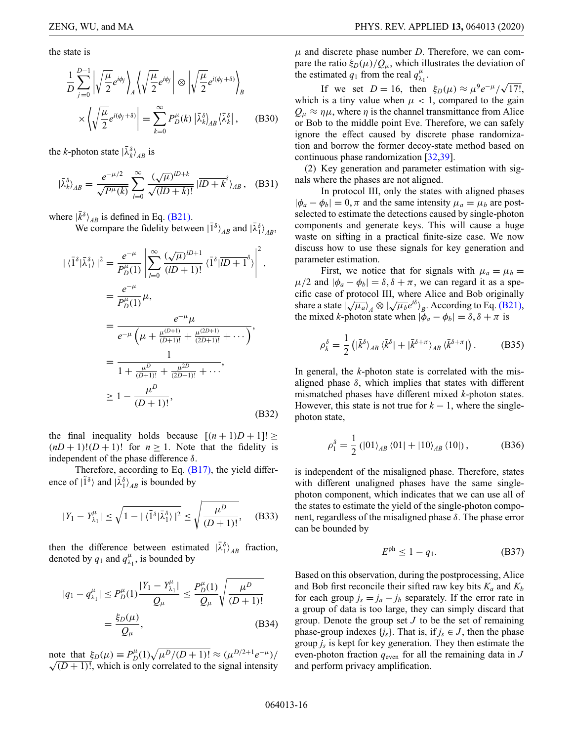the state is

$$
\frac{1}{D} \sum_{j=0}^{D-1} \left| \sqrt{\frac{\mu}{2}} e^{i\phi_j} \right\rangle_A \left\langle \sqrt{\frac{\mu}{2}} e^{i\phi_j} \right| \otimes \left| \sqrt{\frac{\mu}{2}} e^{i(\phi_j + \delta)} \right\rangle_B
$$
\n
$$
\times \left\langle \sqrt{\frac{\mu}{2}} e^{i(\phi_j + \delta)} \right| = \sum_{k=0}^{\infty} P_D^{\mu}(k) \left| \bar{\lambda}_{k}^{\delta} \right\rangle_{AB} \left\langle \bar{\lambda}_{k}^{\delta} \right|, \tag{B30}
$$

the *k*-photon state  $|\bar{\lambda}_k^{\delta}\rangle_{AB}$  is

$$
|\bar{\lambda}_{k}^{\delta}\rangle_{AB} = \frac{e^{-\mu/2}}{\sqrt{P^{\mu}(k)}} \sum_{l=0}^{\infty} \frac{(\sqrt{\mu})^{lD+k}}{\sqrt{(lD+k)!}} |\overline{lD+k}^{\delta}\rangle_{AB}, \quad \text{(B31)}
$$

where  $|\bar{k}^{\delta}\rangle_{AB}$  is defined in Eq. [\(B21\).](#page-13-0)

We compare the fidelity between  $|\bar{1}^{\delta}\rangle_{AB}$  and  $|\bar{\lambda}_1^{\delta}\rangle_{AB}$ ,

$$
|\langle \overline{1}^{\delta} | \overline{\lambda}_{1}^{\delta} \rangle|^{2} = \frac{e^{-\mu}}{P_{D}^{\mu}(1)} \left| \sum_{l=0}^{\infty} \frac{(\sqrt{\mu})^{lD+1}}{(lD+1)!} \langle \overline{1}^{\delta} | \overline{lD+1}^{\delta} \rangle \right|^{2},
$$
  

$$
= \frac{e^{-\mu}}{P_{D}^{\mu}(1)} \mu,
$$
  

$$
= \frac{e^{-\mu}}{e^{-\mu} \left( \mu + \frac{\mu^{(D+1)}}{(D+1)!} + \frac{\mu^{(2D+1)}}{(2D+1)!} + \cdots \right)},
$$
  

$$
= \frac{1}{1 + \frac{\mu^{D}}{(D+1)!} + \frac{\mu^{2D}}{(2D+1)!} + \cdots},
$$
  

$$
\geq 1 - \frac{\mu^{D}}{(D+1)!},
$$
 (B32)

the final inequality holds because  $[(n+1)D+1] \ge$  $(nD+1)!(D+1)!$  for  $n \ge 1$ . Note that the fidelity is independent of the phase difference  $\delta$ .

Therefore, according to Eq.  $(B17)$ , the yield difference of  $|\tilde{1}^{\delta}\rangle$  and  $|\bar{\lambda}_1^{\delta}\rangle_{AB}$  is bounded by

$$
|Y_1 - Y_{\lambda_1}^{\mu}| \le \sqrt{1 - |\langle \overline{1}^{\delta} | \overline{\lambda}_1^{\delta} \rangle|^2} \le \sqrt{\frac{\mu^D}{(D+1)!}}, \quad (B33)
$$

then the difference between estimated  $|\bar{\lambda}_1^{\delta}\rangle_{AB}$  fraction, denoted by  $q_1$  and  $q_{\lambda_1}^{\mu}$ , is bounded by

$$
|q_{1} - q_{\lambda_{1}}^{\mu}| \le P_{D}^{\mu}(1) \frac{|Y_{1} - Y_{\lambda_{1}}^{\mu}|}{Q_{\mu}} \le \frac{P_{D}^{\mu}(1)}{Q_{\mu}} \sqrt{\frac{\mu^{D}}{(D+1)!}}
$$
  
=  $\frac{\xi_{D}(\mu)}{Q_{\mu}}$ , (B34)

note that  $\xi_D(\mu) \equiv P_D^{\mu}(1) \sqrt{\mu^D/(D+1)!} \approx (\mu^{D/2+1} e^{-\mu})/$  $\sqrt{(D+1)!}$ , which is only correlated to the signal intensity  $\mu$  and discrete phase number *D*. Therefore, we can compare the ratio  $\xi_D(\mu)/Q_\mu$ , which illustrates the deviation of the estimated  $q_1$  from the real  $q_\lambda^\mu$  $\frac{\mu}{\lambda_1}$ .

If we set *D* = 16, then  $\xi_D(\mu) \approx \mu^9 e^{-\mu} / \sqrt{17!}$ , which is a tiny value when  $\mu$  < 1, compared to the gain  $Q_{\mu} \approx \eta \mu$ , where  $\eta$  is the channel transmittance from Alice or Bob to the middle point Eve. Therefore, we can safely ignore the effect caused by discrete phase randomization and borrow the former decoy-state method based on continuous phase randomization [\[32,](#page-22-5)[39\]](#page-22-8).

(2) Key generation and parameter estimation with signals where the phases are not aligned.

In protocol III, only the states with aligned phases  $|\phi_a - \phi_b| = 0$ ,  $\pi$  and the same intensity  $\mu_a = \mu_b$  are postselected to estimate the detections caused by single-photon components and generate keys. This will cause a huge waste on sifting in a practical finite-size case. We now discuss how to use these signals for key generation and parameter estimation.

First, we notice that for signals with  $\mu_a = \mu_b =$  $\mu/2$  and  $|\phi_a - \phi_b| = \delta, \delta + \pi$ , we can regard it as a specific case of protocol III, where Alice and Bob originally share a state  $|\sqrt{\mu_a}\rangle_A \otimes |\sqrt{\mu_b}e^{i\delta}\rangle_B$ . According to Eq. [\(B21\),](#page-13-0) the mixed *k*-photon state when  $|\phi_a - \phi_b| = \delta, \delta + \pi$  is

<span id="page-15-1"></span>
$$
\rho_k^{\delta} = \frac{1}{2} \left( |\bar{k}^{\delta}\rangle_{AB} \langle \bar{k}^{\delta}| + |\bar{k}^{\delta+\pi}\rangle_{AB} \langle \bar{k}^{\delta+\pi}| \right). \tag{B35}
$$

In general, the *k*-photon state is correlated with the misaligned phase  $\delta$ , which implies that states with different mismatched phases have different mixed *k*-photon states. However, this state is not true for  $k - 1$ , where the singlephoton state,

$$
\rho_1^{\delta} = \frac{1}{2} (|01\rangle_{AB} \langle 01| + |10\rangle_{AB} \langle 10|), \tag{B36}
$$

is independent of the misaligned phase. Therefore, states with different unaligned phases have the same singlephoton component, which indicates that we can use all of the states to estimate the yield of the single-photon component, regardless of the misaligned phase  $\delta$ . The phase error can be bounded by

<span id="page-15-0"></span>
$$
E^{\text{ph}} \le 1 - q_1. \tag{B37}
$$

Based on this observation, during the postprocessing, Alice and Bob first reconcile their sifted raw key bits  $K_a$  and  $K_b$ for each group  $j_s = j_a - j_b$  separately. If the error rate in a group of data is too large, they can simply discard that group. Denote the group set *J* to be the set of remaining phase-group indexes  $\{j_s\}$ . That is, if  $j_s \in J$ , then the phase group *js* is kept for key generation. They then estimate the even-photon fraction  $q_{\text{even}}$  for all the remaining data in *J* and perform privacy amplification.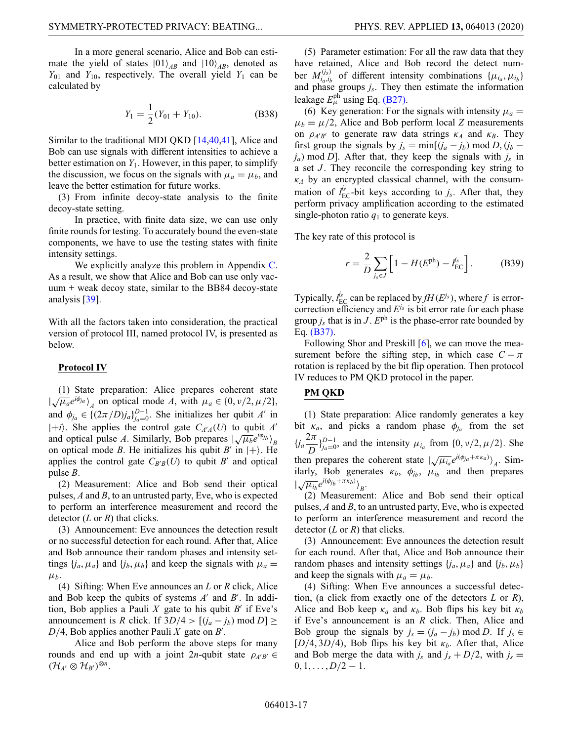In a more general scenario, Alice and Bob can estimate the yield of states  $|01\rangle_{AB}$  and  $|10\rangle_{AB}$ , denoted as  $Y_{01}$  and  $Y_{10}$ , respectively. The overall yield  $Y_1$  can be calculated by

$$
Y_1 = \frac{1}{2}(Y_{01} + Y_{10}).
$$
 (B38)

Similar to the traditional MDI QKD [\[14,](#page-21-12)[40,](#page-22-9)[41\]](#page-22-10), Alice and Bob can use signals with different intensities to achieve a better estimation on  $Y_1$ . However, in this paper, to simplify the discussion, we focus on the signals with  $\mu_a = \mu_b$ , and leave the better estimation for future works.

(3) From infinite decoy-state analysis to the finite decoy-state setting.

In practice, with finite data size, we can use only finite rounds for testing. To accurately bound the even-state components, we have to use the testing states with finite intensity settings.

We explicitly analyze this problem in Appendix [C.](#page-17-0) As a result, we show that Alice and Bob can use only vacuum + weak decoy state, similar to the BB84 decoy-state analysis [\[39\]](#page-22-8).

With all the factors taken into consideration, the practical version of protocol III, named protocol IV, is presented as below.

#### **Protocol IV**

(1) State preparation: Alice prepares coherent state (1) State preparation. After prepares content state<br> $|\sqrt{\mu_a}e^{i\phi_{ja}}\rangle_A$  on optical mode *A*, with  $\mu_a \in \{0, \nu/2, \mu/2\}$ , and  $\phi_{j_a} \in \left\{ (2\pi/D)j_a \right\}_{j_a=0}^{D-1}$ . She initializes her qubit *A'* in  $|+i\rangle$ . She applies the control gate  $C_{A'A}(U)$  to qubit *A'* and optical pulse *A*. Similarly, Bob prepares  $\left(\sqrt{\mu_b}e^{i\phi_j}b\right)_B$ on optical mode *B*. He initializes his qubit *B'* in  $|+\rangle$ . He applies the control gate  $C_{B/B}(U)$  to qubit *B'* and optical pulse *B*.

(2) Measurement: Alice and Bob send their optical pulses, *A* and *B*, to an untrusted party, Eve, who is expected to perform an interference measurement and record the detector (*L* or *R*) that clicks.

(3) Announcement: Eve announces the detection result or no successful detection for each round. After that, Alice and Bob announce their random phases and intensity settings  $\{j_a, \mu_a\}$  and  $\{j_b, \mu_b\}$  and keep the signals with  $\mu_a =$ μ*b*.

(4) Sifting: When Eve announces an *L* or *R* click, Alice and Bob keep the qubits of systems A' and B'. In addition, Bob applies a Pauli  $X$  gate to his qubit  $B'$  if Eve's announcement is *R* click. If  $3D/4 > [(j_a - j_b) \text{ mod } D] \ge$  $D/4$ , Bob applies another Pauli *X* gate on *B'*.

Alice and Bob perform the above steps for many rounds and end up with a joint 2*n*-qubit state  $\rho_{A'B'}$  $(\mathcal{H}_{A'} \otimes \mathcal{H}_{B'})^{\otimes n}.$ 

(5) Parameter estimation: For all the raw data that they have retained, Alice and Bob record the detect number  $M_{i_a,i_b}^{(j_s)}$  of different intensity combinations  $\{\mu_{i_a}, \mu_{i_b}\}$ and phase groups  $j_s$ . They then estimate the information leakage  $E_{\mu}^{\text{ph}}$  using Eq. [\(B27\).](#page-14-1)

(6) Key generation: For the signals with intensity  $\mu_a =$  $\mu_b = \mu/2$ , Alice and Bob perform local *Z* measurements on  $\rho_{A'B'}$  to generate raw data strings  $\kappa_A$  and  $\kappa_B$ . They first group the signals by  $j_s = \min[(j_a - j_b) \mod D, (j_b - j_b)]$  $j_a$ ) mod *D*]. After that, they keep the signals with  $j_s$  in a set *J*. They reconcile the corresponding key string to  $\kappa_A$  by an encrypted classical channel, with the consummation of  $l_{\text{EC}}^{j_s}$ -bit keys according to  $j_s$ . After that, they perform privacy amplification according to the estimated single-photon ratio  $q_1$  to generate keys.

The key rate of this protocol is

$$
r = \frac{2}{D} \sum_{j_s \in J} \left[ 1 - H(E^{\text{ph}}) - l_{\text{EC}}^{j_s} \right].
$$
 (B39)

Typically,  $l_{EC}^{j_s}$  can be replaced by  $fH(E^{j_s})$ , where  $f$  is errorcorrection efficiency and *Ejs* is bit error rate for each phase group  $j_s$  that is in  $J$ .  $E^{ph}$  is the phase-error rate bounded by Eq. [\(B37\).](#page-15-0)

Following Shor and Preskill [\[6\]](#page-21-4), we can move the measurement before the sifting step, in which case  $C - \pi$ rotation is replaced by the bit flip operation. Then protocol IV reduces to PM QKD protocol in the paper.

# **PM QKD**

(1) State preparation: Alice randomly generates a key bit  $\kappa_a$ , and picks a random phase  $\phi_{j_a}$  from the set  ${i<sub>a</sub>} \frac{2\pi}{D}$ ,  ${j<sub>a=0</sub>}$ , and the intensity  $\mu_{i_a}$  from {0, v/2,  $\mu$ /2}. She then prepares the coherent state  $|\sqrt{\mu_{ia}}e^{i(\phi_{ja} + \pi \kappa_a)}|_A$ . Similarly, Bob generates  $\kappa_b$ ,  $\phi_{j_b}$ ,  $\mu_{i_b}$  and then prepares  $\left| \sqrt{\mu_{i_b}} e^{i(\phi_{j_b} + \pi \kappa_b)} \right\rangle_B$ .

(2) Measurement: Alice and Bob send their optical pulses, *A* and *B*, to an untrusted party, Eve, who is expected to perform an interference measurement and record the detector (*L* or *R*) that clicks.

(3) Announcement: Eve announces the detection result for each round. After that, Alice and Bob announce their random phases and intensity settings  $\{j_a, \mu_a\}$  and  $\{j_b, \mu_b\}$ and keep the signals with  $\mu_a = \mu_b$ .

(4) Sifting: When Eve announces a successful detection, (a click from exactly one of the detectors *L* or *R*), Alice and Bob keep  $\kappa_a$  and  $\kappa_b$ . Bob flips his key bit  $\kappa_b$ if Eve's announcement is an *R* click. Then, Alice and Bob group the signals by  $j_s = (j_a - j_b) \text{ mod } D$ . If  $j_s \in$  $[D/4, 3D/4)$ , Bob flips his key bit  $\kappa_b$ . After that, Alice and Bob merge the data with  $j_s$  and  $j_s + D/2$ , with  $j_s =$  $0, 1, \ldots, D/2 - 1.$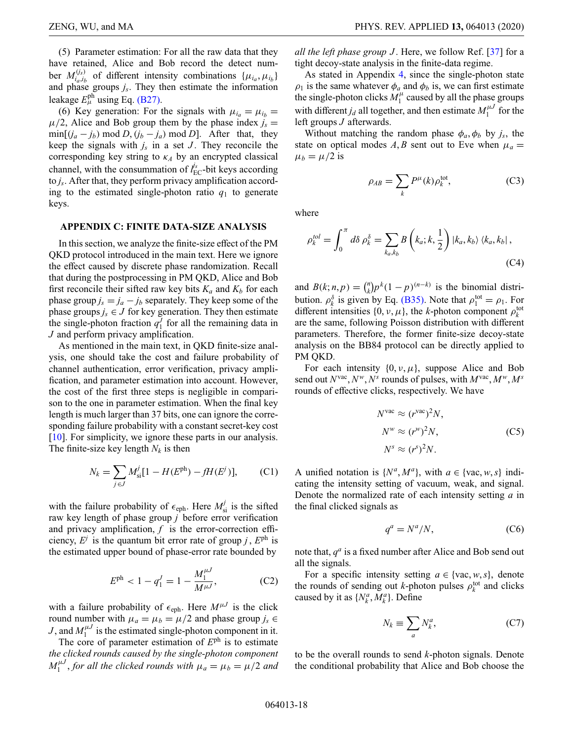(5) Parameter estimation: For all the raw data that they have retained, Alice and Bob record the detect number  $M_{i_a,i_b}^{(j_s)}$  of different intensity combinations  $\{\mu_{i_a}, \mu_{i_b}\}$ and phase groups *js*. They then estimate the information leakage  $E_{\mu}^{\text{ph}}$  using Eq. [\(B27\).](#page-14-1)

(6) Key generation: For the signals with  $\mu_{i} = \mu_{i}$  $\mu/2$ , Alice and Bob group them by the phase index  $j_s =$  $\min[(j_a - j_b) \mod D, (j_b - j_a) \mod D]$ . After that, they keep the signals with  $j_s$  in a set  $J$ . They reconcile the corresponding key string to  $\kappa_A$  by an encrypted classical channel, with the consummation of  $l_{\text{EC}}^{\text{fs}}$ -bit keys according to *js*. After that, they perform privacy amplification according to the estimated single-photon ratio  $q_1$  to generate keys.

### <span id="page-17-0"></span>**APPENDIX C: FINITE DATA-SIZE ANALYSIS**

In this section, we analyze the finite-size effect of the PM QKD protocol introduced in the main text. Here we ignore the effect caused by discrete phase randomization. Recall that during the postprocessing in PM QKD, Alice and Bob first reconcile their sifted raw key bits  $K_a$  and  $K_b$  for each phase group  $j_s = j_a - j_b$  separately. They keep some of the phase groups  $j_s \in J$  for key generation. They then estimate the single-photon fraction  $q_1^J$  for all the remaining data in *J* and perform privacy amplification.

As mentioned in the main text, in QKD finite-size analysis, one should take the cost and failure probability of channel authentication, error verification, privacy amplification, and parameter estimation into account. However, the cost of the first three steps is negligible in comparison to the one in parameter estimation. When the final key length is much larger than 37 bits, one can ignore the corresponding failure probability with a constant secret-key cost [\[10\]](#page-21-8). For simplicity, we ignore these parts in our analysis. The finite-size key length  $N_k$  is then

$$
N_k = \sum_{j \in J} M_{si}^j [1 - H(E^{ph}) - fH(E^j)], \qquad (C1)
$$

with the failure probability of  $\epsilon_{\text{eph}}$ . Here  $M_{\text{si}}^j$  is the sifted raw key length of phase group *j* before error verification and privacy amplification, *f* is the error-correction efficiency,  $E^j$  is the quantum bit error rate of group *j*,  $E^{ph}$  is the estimated upper bound of phase-error rate bounded by

$$
E^{\text{ph}} < 1 - q_1^J = 1 - \frac{M_1^{\mu J}}{M^{\mu J}},\tag{C2}
$$

with a failure probability of  $\epsilon_{\text{eph}}$ . Here  $M^{\mu J}$  is the click round number with  $\mu_a = \mu_b = \mu/2$  and phase group  $j_s \in$ *J*, and  $M_1^{\mu J}$  is the estimated single-photon component in it.

The core of parameter estimation of *E*ph is to estimate *the clicked rounds caused by the single-photon component*  $M_1^{\mu J}$ , for all the clicked rounds with  $\mu_a = \mu_b = \mu/2$  and *all the left phase group J* . Here, we follow Ref. [\[37\]](#page-22-6) for a tight decoy-state analysis in the finite-data regime.

As stated in Appendix [4,](#page-14-2) since the single-photon state  $\rho_1$  is the same whatever  $\phi_a$  and  $\phi_b$  is, we can first estimate the single-photon clicks  $M_1^{\mu}$  caused by all the phase groups with different  $j_d$  all together, and then estimate  $M_1^{\mu J}$  for the left groups *J* afterwards.

Without matching the random phase  $\phi_a$ ,  $\phi_b$  by  $j_s$ , the state on optical modes *A*, *B* sent out to Eve when  $\mu_a =$  $\mu_b = \mu/2$  is

$$
\rho_{AB} = \sum_{k} P^{\mu}(k) \rho_k^{\text{tot}},\tag{C3}
$$

where

$$
\rho_k^{tol} = \int_0^{\pi} d\delta \, \rho_k^{\delta} = \sum_{k_a, k_b} B\left(k_a; k, \frac{1}{2}\right) \left|k_a, k_b\right\rangle \left\langle k_a, k_b\right|,
$$
\n(C4)

and  $B(k; n, p) = {n \choose k} p^k (1-p)^{(n-k)}$  is the binomial distribution.  $\rho_k^{\delta}$  is given by Eq. [\(B35\).](#page-15-1) Note that  $\rho_1^{\text{tot}} = \rho_1$ . For different intensities  $\{0, \nu, \mu\}$ , the *k*-photon component  $\rho_k^{\text{tot}}$ are the same, following Poisson distribution with different parameters. Therefore, the former finite-size decoy-state analysis on the BB84 protocol can be directly applied to PM QKD.

For each intensity  $\{0, \nu, \mu\}$ , suppose Alice and Bob send out  $N^{vac}, N^w, N^s$  rounds of pulses, with  $M^{vac}, M^w, M^s$ rounds of effective clicks, respectively. We have

$$
Nvac \approx (rvac)2N,
$$
  
\n
$$
Nw \approx (rw)2N,
$$
  
\n
$$
Ns \approx (rs)2N.
$$
 (C5)

A unified notation is  $\{N^a, M^a\}$ , with  $a \in \{vac, w, s\}$  indicating the intensity setting of vacuum, weak, and signal. Denote the normalized rate of each intensity setting *a* in the final clicked signals as

$$
q^a = N^a/N,\tag{C6}
$$

note that,  $q<sup>a</sup>$  is a fixed number after Alice and Bob send out all the signals.

<span id="page-17-1"></span>For a specific intensity setting  $a \in \{vac, w, s\}$ , denote the rounds of sending out *k*-photon pulses  $\rho_k^{\text{tot}}$  and clicks caused by it as  $\{N_k^a, M_k^a\}$ . Define

$$
N_k \equiv \sum_a N_k^a,\tag{C7}
$$

to be the overall rounds to send *k*-photon signals. Denote the conditional probability that Alice and Bob choose the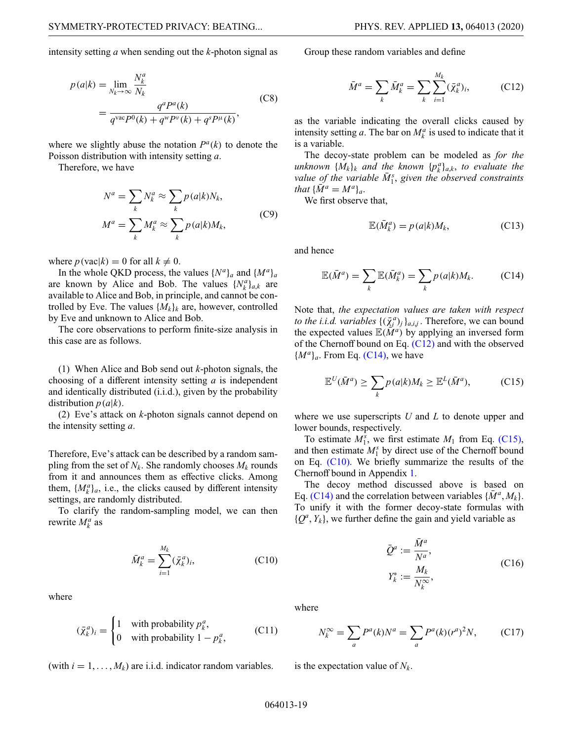intensity setting *a* when sending out the *k*-photon signal as

$$
p(a|k) = \lim_{N_k \to \infty} \frac{N_k^a}{N_k} \\
= \frac{q^a P^a(k)}{q^{\text{vac}} P^0(k) + q^{\text{w}} P^{\text{v}}(k) + q^s P^{\mu}(k)},
$$
(C8)

where we slightly abuse the notation  $P^a(k)$  to denote the Poisson distribution with intensity setting *a*.

Therefore, we have

$$
N^{a} = \sum_{k} N_{k}^{a} \approx \sum_{k} p(a|k)N_{k},
$$
  

$$
M^{a} = \sum_{k} M_{k}^{a} \approx \sum_{k} p(a|k)M_{k},
$$
 (C9)

where  $p(\text{vac}|k) = 0$  for all  $k \neq 0$ .

In the whole QKD process, the values  $\{N^a\}_a$  and  $\{M^a\}_a$ are known by Alice and Bob. The values  $\{N_k^a\}_{a,k}$  are available to Alice and Bob, in principle, and cannot be controlled by Eve. The values  $\{M_k\}_k$  are, however, controlled by Eve and unknown to Alice and Bob.

The core observations to perform finite-size analysis in this case are as follows.

(1) When Alice and Bob send out *k*-photon signals, the choosing of a different intensity setting *a* is independent and identically distributed (i.i.d.), given by the probability distribution  $p(a|k)$ .

(2) Eve's attack on *k*-photon signals cannot depend on the intensity setting *a*.

Therefore, Eve's attack can be described by a random sampling from the set of  $N_k$ . She randomly chooses  $M_k$  rounds from it and announces them as effective clicks. Among them,  $\{M_k^a\}_a$ , i.e., the clicks caused by different intensity settings, are randomly distributed.

To clarify the random-sampling model, we can then rewrite  $M_k^a$  as

$$
\bar{M}_k^a = \sum_{i=1}^{M_k} (\bar{\chi}_k^a)_i, \tag{C10}
$$

where

$$
(\bar{\chi}_k^a)_i = \begin{cases} 1 & \text{with probability } p_k^a, \\ 0 & \text{with probability } 1 - p_k^a, \end{cases}
$$
 (C11)

(with  $i = 1, \ldots, M_k$ ) are i.i.d. indicator random variables.

Group these random variables and define

<span id="page-18-0"></span>
$$
\bar{M}^{a} = \sum_{k} \bar{M}_{k}^{a} = \sum_{k} \sum_{i=1}^{M_{k}} (\bar{\chi}_{k}^{a})_{i},
$$
 (C12)

as the variable indicating the overall clicks caused by intensity setting *a*. The bar on  $M_k^a$  is used to indicate that it is a variable.

The decoy-state problem can be modeled as *for the unknown*  $\{M_k\}_k$  *and the known*  $\{p_k^a\}_{a,k}$ , *to evaluate the value* of the variable  $\overline{M}_1^s$ , given the observed constraints *that*  $\{\bar{M}^a = M^a\}_a$ .

We first observe that,

<span id="page-18-1"></span>
$$
\mathbb{E}(\bar{M}_k^a) = p(a|k)M_k,\tag{C13}
$$

and hence

$$
\mathbb{E}(\bar{M}^a) = \sum_{k} \mathbb{E}(\bar{M}^a_k) = \sum_{k} p(a|k)M_k.
$$
 (C14)

Note that, *the expectation values are taken with respect to the i.i.d. variables*  $\{(\bar{\chi}_i^a)_j\}_{a,i,j}$ . Therefore, we can bound the expected values  $E(M^a)$  by applying an inversed form of the Chernoff bound on Eq. [\(C12\)](#page-18-0) and with the observed  ${M^a}_{a}$ . From Eq. [\(C14\),](#page-18-1) we have

<span id="page-18-2"></span>
$$
\mathbb{E}^{U}(\bar{M}^{a}) \geq \sum_{k} p(a|k)M_{k} \geq \mathbb{E}^{L}(\bar{M}^{a}), \qquad (C15)
$$

where we use superscripts *U* and *L* to denote upper and lower bounds, respectively.

To estimate  $M_1^s$ , we first estimate  $M_1$  from Eq. [\(C15\),](#page-18-2) and then estimate  $M_1^s$  by direct use of the Chernoff bound on Eq. [\(C10\).](#page-18-3) We briefly summarize the results of the Chernoff bound in Appendix [1.](#page-5-0)

The decoy method discussed above is based on Eq. [\(C14\)](#page-18-1) and the correlation between variables  $\{M^a, M_k\}$ . To unify it with the former decoy-state formulas with  $\{Q^a, Y_k\}$ , we further define the gain and yield variable as

<span id="page-18-4"></span>
$$
\bar{Q}^a := \frac{\bar{M}^a}{N^a},
$$
  

$$
Y_k^* := \frac{M_k}{N_k^\infty},
$$
 (C16)

<span id="page-18-3"></span>where

$$
N_k^{\infty} = \sum_a P^a(k)N^a = \sum_a P^a(k)(r^a)^2 N, \qquad (C17)
$$

is the expectation value of  $N_k$ .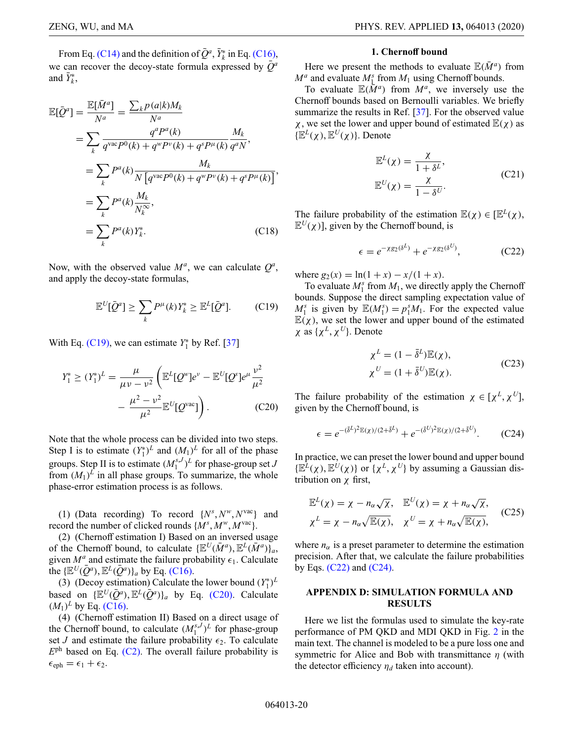From Eq. [\(C14\)](#page-18-1) and the definition of  $\bar{Q}^a$ ,  $\bar{Y}_k^*$  in Eq. [\(C16\),](#page-18-4) we can recover the decoy-state formula expressed by  $\overline{Q}^a$ and  $\bar{Y}_k^*$ ,

$$
\mathbb{E}[\bar{Q}^{a}] = \frac{\mathbb{E}[\bar{M}^{a}]}{N^{a}} = \frac{\sum_{k} p(a|k)M_{k}}{N^{a}}
$$
\n
$$
= \sum_{k} \frac{q^{a}P^{a}(k)}{q^{\text{vac}}P^{0}(k) + q^{\text{w}}P^{\text{v}}(k) + q^{s}P^{\mu}(k)} \frac{M_{k}}{q^{a}N},
$$
\n
$$
= \sum_{k} P^{a}(k) \frac{M_{k}}{N[q^{\text{vac}}P^{0}(k) + q^{\text{w}}P^{\text{v}}(k) + q^{s}P^{\mu}(k)]},
$$
\n
$$
= \sum_{k} P^{a}(k) \frac{M_{k}}{N_{k}^{\infty}},
$$
\n
$$
= \sum_{k} P^{a}(k)Y_{k}^{*}.
$$
\n(C18)

Now, with the observed value  $M^a$ , we can calculate  $Q^a$ , and apply the decoy-state formulas,

$$
\mathbb{E}^U[\bar{Q}^a] \ge \sum_k P^\mu(k) Y_k^* \ge \mathbb{E}^L[\bar{Q}^a]. \tag{C19}
$$

With Eq. [\(C19\),](#page-19-1) we can estimate  $Y_1^*$  by Ref. [\[37\]](#page-22-6)

$$
Y_1^* \ge (Y_1^*)^L = \frac{\mu}{\mu v - v^2} \left( \mathbb{E}^L [Q^w] e^v - \mathbb{E}^U [Q^s] e^{\mu} \frac{v^2}{\mu^2} - \frac{\mu^2 - v^2}{\mu^2} \mathbb{E}^U [Q^{\text{vac}}] \right).
$$
 (C20)

Note that the whole process can be divided into two steps. Step I is to estimate  $(Y_1^*)^L$  and  $(M_1)^L$  for all of the phase groups. Step II is to estimate  $(M_1^{s,J})^L$  for phase-group set *J* from  $(M_1)^L$  in all phase groups. To summarize, the whole phase-error estimation process is as follows.

(1) (Data recording) To record  $\{N^s, N^w, N^{vac}\}$  and record the number of clicked rounds {*M<sup>s</sup>* , *Mw*, *M*vac}.

(2) (Chernoff estimation I) Based on an inversed usage of the Chernoff bound, to calculate  $\{E^U(\bar{M}^a), E^L(\bar{M}^a)\}_a$ , given  $M^a$  and estimate the failure probability  $\epsilon_1$ . Calculate the  $\{\mathbb{E}^U(\bar{Q}^a), \mathbb{E}^L(\bar{Q}^a)\}_a$  by Eq. [\(C16\).](#page-18-4)

(3) (Decoy estimation) Calculate the lower bound  $(Y_1^*)^L$ based on  $\{E^{U}(\overline{O}^{a}), E^{L}(\overline{O}^{a})\}_{a}$  by Eq. [\(C20\).](#page-19-2) Calculate  $(M_1)^L$  by Eq. [\(C16\).](#page-18-4)

(4) (Chernoff estimation II) Based on a direct usage of the Chernoff bound, to calculate  $(M_1^{s,J})^L$  for phase-group set *J* and estimate the failure probability  $\epsilon_2$ . To calculate  $E<sup>ph</sup>$  based on Eq. [\(C2\).](#page-17-1) The overall failure probability is  $\epsilon_{\text{eph}} = \epsilon_1 + \epsilon_2.$ 

#### **1. Chernoff bound**

Here we present the methods to evaluate  $\mathbb{E}(\bar{M}^a)$  from  $M^a$  and evaluate  $M^s$ <sub>1</sub> from  $M_1$  using Chernoff bounds.

To evaluate  $\mathbb{E}(\overline{M}^a)$  from  $M^a$ , we inversely use the Chernoff bounds based on Bernoulli variables. We briefly summarize the results in Ref. [\[37\]](#page-22-6). For the observed value  $\chi$ , we set the lower and upper bound of estimated  $\mathbb{E}(\chi)$  as  $\{E^{L}(\chi), E^{U}(\chi)\}\)$ . Denote

$$
\mathbb{E}^{L}(\chi) = \frac{\chi}{1 + \delta^{L}},
$$
  

$$
\mathbb{E}^{U}(\chi) = \frac{\chi}{1 - \delta^{U}}.
$$
 (C21)

The failure probability of the estimation  $\mathbb{E}(\chi) \in [\mathbb{E}^L(\chi)]$ ,  $\mathbb{E}^{U}(\chi)$ ], given by the Chernoff bound, is

<span id="page-19-3"></span>
$$
\epsilon = e^{-\chi g_2(\delta^L)} + e^{-\chi g_2(\delta^U)},\tag{C22}
$$

where  $g_2(x) = \ln(1 + x) - x/(1 + x)$ .

<span id="page-19-1"></span>To evaluate  $M_1^s$  from  $M_1$ , we directly apply the Chernoff bounds. Suppose the direct sampling expectation value of  $M_1^s$  is given by  $\mathbb{E}(M_1^s) = p_1^s M_1^s$ . For the expected value  $\mathbb{E}(\chi)$ , we set the lower and upper bound of the estimated χ as {χ*<sup>L</sup>*, χ*<sup>U</sup>*}. Denote

<span id="page-19-4"></span>
$$
\chi^{L} = (1 - \bar{\delta}^{L}) \mathbb{E}(\chi),
$$
  
\n
$$
\chi^{U} = (1 + \bar{\delta}^{U}) \mathbb{E}(\chi).
$$
 (C23)

<span id="page-19-2"></span>The failure probability of the estimation  $\chi \in [\chi^L, \chi^U]$ , given by the Chernoff bound, is

$$
\epsilon = e^{-(\bar{\delta}^L)^2 \mathbb{E}(\chi)/(2 + \bar{\delta}^L)} + e^{-(\bar{\delta}^U)^2 \mathbb{E}(\chi)/(2 + \bar{\delta}^U)}.\tag{C24}
$$

In practice, we can preset the lower bound and upper bound  $\{\mathbb{E}^{L}(\chi),\mathbb{E}^{U}(\chi)\}\$  or  $\{\chi^{L},\chi^{U}\}\$  by assuming a Gaussian distribution on χ first,

$$
\mathbb{E}^{L}(\chi) = \chi - n_{\alpha}\sqrt{\chi}, \quad \mathbb{E}^{U}(\chi) = \chi + n_{\alpha}\sqrt{\chi},
$$
  

$$
\chi^{L} = \chi - n_{\alpha}\sqrt{\mathbb{E}(\chi)}, \quad \chi^{U} = \chi + n_{\alpha}\sqrt{\mathbb{E}(\chi)},
$$
 (C25)

where  $n_{\alpha}$  is a preset parameter to determine the estimation precision. After that, we calculate the failure probabilities by Eqs.  $(C22)$  and  $(C24)$ .

# <span id="page-19-0"></span>**APPENDIX D: SIMULATION FORMULA AND RESULTS**

Here we list the formulas used to simulate the key-rate performance of PM QKD and MDI QKD in Fig. [2](#page-4-0) in the main text. The channel is modeled to be a pure loss one and symmetric for Alice and Bob with transmittance  $\eta$  (with the detector efficiency  $\eta_d$  taken into account).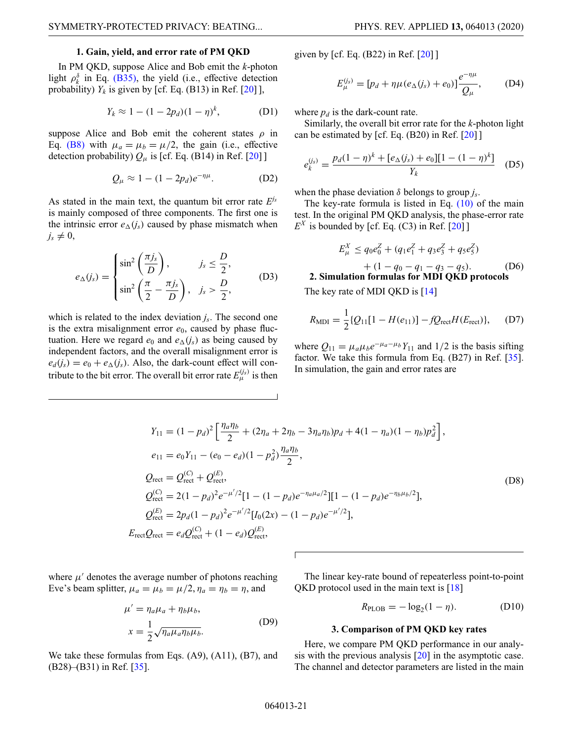### **1. Gain, yield, and error rate of PM QKD**

In PM QKD, suppose Alice and Bob emit the *k*-photon light  $\rho_k^{\delta}$  in Eq. [\(B35\),](#page-15-1) the yield (i.e., effective detection probability)  $Y_k$  is given by [cf. Eq. (B13) in Ref. [\[20\]](#page-21-17) ],

$$
Y_k \approx 1 - (1 - 2p_d)(1 - \eta)^k, \tag{D1}
$$

suppose Alice and Bob emit the coherent states  $\rho$  in Eq. [\(B8\)](#page-12-1) with  $\mu_a = \mu_b = \mu/2$ , the gain (i.e., effective detection probability)  $Q_{\mu}$  is [cf. Eq. (B14) in Ref. [\[20\]](#page-21-17) ]

$$
Q_{\mu} \approx 1 - (1 - 2p_d)e^{-\eta \mu}.
$$
 (D2)

As stated in the main text, the quantum bit error rate *Ejs* is mainly composed of three components. The first one is the intrinsic error  $e_{\Delta}(j_s)$  caused by phase mismatch when  $j_s \neq 0$ ,

$$
e_{\Delta}(j_s) = \begin{cases} \sin^2\left(\frac{\pi j_s}{D}\right), & j_s \leq \frac{D}{2}, \\ \sin^2\left(\frac{\pi}{2} - \frac{\pi j_s}{D}\right), & j_s > \frac{D}{2}, \end{cases}
$$
 (D3)

which is related to the index deviation *js*. The second one is the extra misalignment error  $e_0$ , caused by phase fluctuation. Here we regard  $e_0$  and  $e_{\Delta}(i_s)$  as being caused by independent factors, and the overall misalignment error is  $e_d(j_s) = e_0 + e_\Delta(j_s)$ . Also, the dark-count effect will contribute to the bit error. The overall bit error rate  $E_{\mu}^{(j_s)}$  is then

given by [cf. Eq. (B22) in Ref. [\[20\]](#page-21-17) ]

$$
E_{\mu}^{(j_s)} = [p_d + \eta \mu (e_{\Delta}(j_s) + e_0)] \frac{e^{-\eta \mu}}{Q_{\mu}}, \quad (D4)
$$

where  $p_d$  is the dark-count rate.

Similarly, the overall bit error rate for the *k*-photon light can be estimated by [cf. Eq.  $(B20)$  in Ref.  $[20]$ ]

$$
e_k^{(j_s)} = \frac{p_d(1-\eta)^k + [e_\Delta(j_s) + e_0][1 - (1-\eta)^k]}{Y_k}
$$
 (D5)

when the phase deviation  $\delta$  belongs to group  $i_s$ .

The key-rate formula is listed in Eq.  $(10)$  of the main test. In the original PM QKD analysis, the phase-error rate  $E^X$  is bounded by [cf. Eq. (C3) in Ref. [\[20\]](#page-21-17) ]

$$
E_{\mu}^{X} \le q_{0}e_{0}^{Z} + (q_{1}e_{1}^{Z} + q_{3}e_{3}^{Z} + q_{5}e_{5}^{Z})
$$
  
+ (1 - q\_{0} - q\_{1} - q\_{3} - q\_{5}). (D6)  
mulation formulas for MDD OKD protocols

**2. Simulation formulas for MDI QKD protocols**

The key rate of MDI QKD is [\[14\]](#page-21-12)

$$
R_{\rm MDI} = \frac{1}{2} \{ Q_{11} [1 - H(e_{11})] - f Q_{\rm rect} H(E_{\rm rect}) \}, \quad (D7)
$$

where  $Q_{11} = \mu_a \mu_b e^{-\mu_a - \mu_b} Y_{11}$  and 1/2 is the basis sifting factor. We take this formula from Eq. (B27) in Ref. [\[35\]](#page-22-3). In simulation, the gain and error rates are

$$
Y_{11} = (1 - p_d)^2 \left[ \frac{\eta_a \eta_b}{2} + (2\eta_a + 2\eta_b - 3\eta_a \eta_b) p_d + 4(1 - \eta_a)(1 - \eta_b) p_d^2 \right],
$$
  
\n
$$
e_{11} = e_0 Y_{11} - (e_0 - e_d)(1 - p_d^2) \frac{\eta_a \eta_b}{2},
$$
  
\n
$$
Q_{\text{rect}} = Q_{\text{rect}}^{(C)} + Q_{\text{rect}}^{(E)},
$$
  
\n
$$
Q_{\text{rect}}^{(C)} = 2(1 - p_d)^2 e^{-\mu'/2} [1 - (1 - p_d)e^{-\eta_a \mu_a/2}] [1 - (1 - p_d)e^{-\eta_b \mu_b/2}],
$$
  
\n
$$
Q_{\text{rect}}^{(E)} = 2p_d(1 - p_d)^2 e^{-\mu'/2} [I_0(2x) - (1 - p_d)e^{-\mu'/2}],
$$
  
\n
$$
E_{\text{rect}} Q_{\text{rect}} = e_d Q_{\text{rect}}^{(C)} + (1 - e_d) Q_{\text{rect}}^{(E)},
$$
  
\n(108)

where  $\mu'$  denotes the average number of photons reaching Eve's beam splitter,  $\mu_a = \mu_b = \mu/2$ ,  $\eta_a = \eta_b = \eta$ , and

$$
\mu' = \eta_a \mu_a + \eta_b \mu_b,
$$
  

$$
x = \frac{1}{2} \sqrt{\eta_a \mu_a \eta_b \mu_b}.
$$
 (D9)

We take these formulas from Eqs. (A9), (A11), (B7), and  $(B28)$ – $(B31)$  in Ref. [\[35\]](#page-22-3).

The linear key-rate bound of repeaterless point-to-point QKD protocol used in the main text is [\[18\]](#page-21-15)

$$
R_{\text{PLOB}} = -\log_2(1 - \eta). \tag{D10}
$$

#### **3. Comparison of PM QKD key rates**

Here, we compare PM QKD performance in our analysis with the previous analysis [\[20\]](#page-21-17) in the asymptotic case. The channel and detector parameters are listed in the main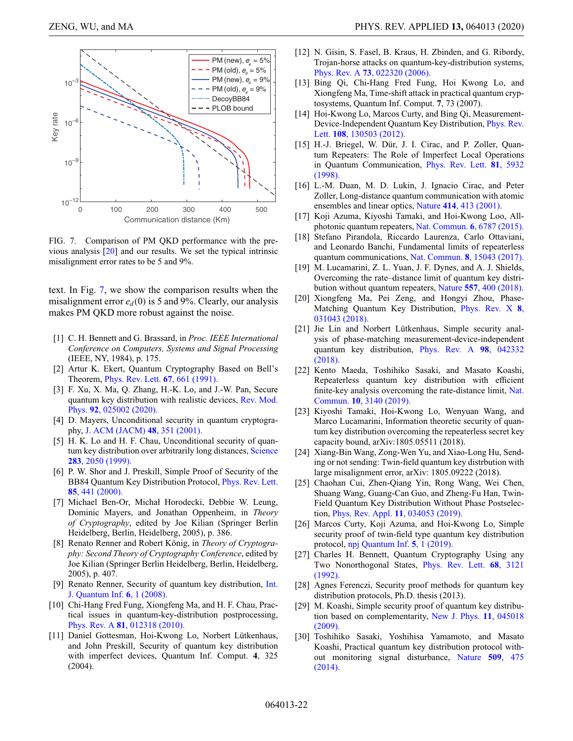<span id="page-21-27"></span>

FIG. 7. Comparison of PM QKD performance with the previous analysis [\[20\]](#page-21-17) and our results. We set the typical intrinsic misalignment error rates to be 5 and 9%.

text. In Fig. [7,](#page-21-27) we show the comparison results when the misalignment error  $e_d(0)$  is 5 and 9%. Clearly, our analysis makes PM QKD more robust against the noise.

- <span id="page-21-0"></span>[1] C. H. Bennett and G. Brassard, in *Proc. IEEE International Conference on Computers, Systems and Signal Processing* (IEEE, NY, 1984), p. 175.
- <span id="page-21-1"></span>[2] Artur K. Ekert, Quantum Cryptography Based on Bell's Theorem, [Phys. Rev. Lett.](https://doi.org/10.1103/PhysRevLett.67.661) **67**, 661 (1991).
- <span id="page-21-2"></span>[3] F. Xu, X. Ma, Q. Zhang, H.-K. Lo, and J.-W. Pan, Secure [quantum key distribution with realistic devices,](https://doi.org/10.1103/RevModPhys.92.025002) Rev. Mod. Phys. **92**, 025002 (2020).
- <span id="page-21-3"></span>[4] D. Mayers, Unconditional security in quantum cryptography, [J. ACM \(JACM\)](https://doi.org/10.1145/382780.382781) **48**, 351 (2001).
- <span id="page-21-26"></span>[5] H. K. Lo and H. F. Chau, Unconditional security of quan[tum key distribution over arbitrarily long distances,](https://doi.org/10.1126/science.283.5410.2050) Science **283**, 2050 (1999).
- <span id="page-21-4"></span>[6] P. W. Shor and J. Preskill, Simple Proof of Security of the [BB84 Quantum Key Distribution Protocol,](https://doi.org/10.1103/PhysRevLett.85.441) Phys. Rev. Lett. **85**, 441 (2000).
- <span id="page-21-5"></span>[7] Michael Ben-Or, Michał Horodecki, Debbie W. Leung, Dominic Mayers, and Jonathan Oppenheim, in *Theory of Cryptography*, edited by Joe Kilian (Springer Berlin Heidelberg, Berlin, Heidelberg, 2005), p. 386.
- <span id="page-21-6"></span>[8] Renato Renner and Robert König, in *Theory of Cryptography: Second Theory of Cryptography Conference*, edited by Joe Kilian (Springer Berlin Heidelberg, Berlin, Heidelberg, 2005), p. 407.
- <span id="page-21-7"></span>[9] [Renato Renner, Security of quantum key distribution,](https://doi.org/10.1142/S0219749908003256) Int. J. Quantum Inf. **6**, 1 (2008).
- <span id="page-21-8"></span>[10] Chi-Hang Fred Fung, Xiongfeng Ma, and H. F. Chau, Practical issues in quantum-key-distribution postprocessing, Phys. Rev. A **81**[, 012318 \(2010\).](https://doi.org/10.1103/PhysRevA.81.012318)
- <span id="page-21-9"></span>[11] Daniel Gottesman, Hoi-Kwong Lo, Norbert Lütkenhaus, and John Preskill, Security of quantum key distribution with imperfect devices, Quantum Inf. Comput. **4**, 325 (2004).
- <span id="page-21-10"></span>[12] N. Gisin, S. Fasel, B. Kraus, H. Zbinden, and G. Ribordy, Trojan-horse attacks on quantum-key-distribution systems, Phys. Rev. A **73**[, 022320 \(2006\).](https://doi.org/10.1103/PhysRevA.73.022320)
- <span id="page-21-11"></span>[13] Bing Qi, Chi-Hang Fred Fung, Hoi Kwong Lo, and Xiongfeng Ma, Time-shift attack in practical quantum cryptosystems, Quantum Inf. Comput. **7**, 73 (2007).
- <span id="page-21-12"></span>[14] Hoi-Kwong Lo, Marcos Curty, and Bing Qi, Measurement-[Device-Independent Quantum Key Distribution,](https://doi.org/10.1103/PhysRevLett.108.130503) Phys. Rev. Lett. **108**, 130503 (2012).
- <span id="page-21-13"></span>[15] H.-J. Briegel, W. Dür, J. I. Cirac, and P. Zoller, Quantum Repeaters: The Role of Imperfect Local Operations [in Quantum Communication,](https://doi.org/10.1103/PhysRevLett.81.5932) Phys. Rev. Lett. **81**, 5932 (1998).
- [16] L.-M. Duan, M. D. Lukin, J. Ignacio Cirac, and Peter Zoller, Long-distance quantum communication with atomic ensembles and linear optics, Nature **414**[, 413 \(2001\).](https://doi.org/10.1038/35106500)
- <span id="page-21-14"></span>[17] Koji Azuma, Kiyoshi Tamaki, and Hoi-Kwong Loo, Allphotonic quantum repeaters, [Nat. Commun.](https://doi.org/10.1038/ncomms7787) **6**, 6787 (2015).
- <span id="page-21-15"></span>[18] Stefano Pirandola, Riccardo Laurenza, Carlo Ottaviani, and Leonardo Banchi, Fundamental limits of repeaterless quantum communications, Nat. Commun. **8**[, 15043 \(2017\).](https://doi.org/10.1038/ncomms15043)
- <span id="page-21-16"></span>[19] M. Lucamarini, Z. L. Yuan, J. F. Dynes, and A. J. Shields, Overcoming the rate–distance limit of quantum key distribution without quantum repeaters, Nature **557**[, 400 \(2018\).](https://doi.org/10.1038/s41586-018-0066-6)
- <span id="page-21-17"></span>[20] Xiongfeng Ma, Pei Zeng, and Hongyi Zhou, Phase-[Matching Quantum Key Distribution,](https://doi.org/10.1103/PhysRevX.8.031043) Phys. Rev. X **8**, 031043 (2018).
- <span id="page-21-18"></span>[21] Jie Lin and Norbert Lütkenhaus, Simple security analysis of phase-matching measurement-device-independent [quantum key distribution,](https://doi.org/10.1103/PhysRevA.98.042332) Phys. Rev. A **98**, 042332 (2018).
- <span id="page-21-19"></span>[22] Kento Maeda, Toshihiko Sasaki, and Masato Koashi, Repeaterless quantum key distribution with efficient [finite-key analysis overcoming the rate-distance limit,](https://doi.org/10.1038/s41467-019-11008-z) Nat. Commun. **10**, 3140 (2019).
- <span id="page-21-20"></span>[23] Kiyoshi Tamaki, Hoi-Kwong Lo, Wenyuan Wang, and Marco Lucamarini, Information theoretic security of quantum key distribution overcoming the repeaterless secret key capacity bound, arXiv:1805.05511 (2018).
- [24] Xiang-Bin Wang, Zong-Wen Yu, and Xiao-Long Hu, Sending or not sending: Twin-field quantum key distrbution with large misalignment error, arXiv: 1805.09222 (2018).
- [25] Chaohan Cui, Zhen-Qiang Yin, Rong Wang, Wei Chen, Shuang Wang, Guang-Can Guo, and Zheng-Fu Han, Twin-Field Quantum Key Distribution Without Phase Postselection, [Phys. Rev. Appl.](https://doi.org/10.1103/PhysRevApplied.11.034053) **11**, 034053 (2019).
- <span id="page-21-21"></span>[26] Marcos Curty, Koji Azuma, and Hoi-Kwong Lo, Simple security proof of twin-field type quantum key distribution protocol, [npj Quantum Inf.](https://doi.org/10.1038/s41534-018-0113-z) **5**, 1 (2019).
- <span id="page-21-22"></span>[27] Charles H. Bennett, Quantum Cryptography Using any [Two Nonorthogonal States,](https://doi.org/10.1103/PhysRevLett.68.3121) Phys. Rev. Lett. **68**, 3121 (1992).
- <span id="page-21-23"></span>[28] Agnes Ferenczi, Security proof methods for quantum key distribution protocols, Ph.D. thesis (2013).
- <span id="page-21-24"></span>[29] M. Koashi, Simple security proof of quantum key distribu[tion based on complementarity,](https://doi.org/10.1088/1367-2630/11/4/045018) New J. Phys. **11**, 045018 (2009).
- <span id="page-21-25"></span>[30] Toshihiko Sasaki, Yoshihisa Yamamoto, and Masato Koashi, Practical quantum key distribution protocol with[out monitoring signal disturbance,](https://doi.org/10.1038/nature13303) Nature **509**, 475 (2014).